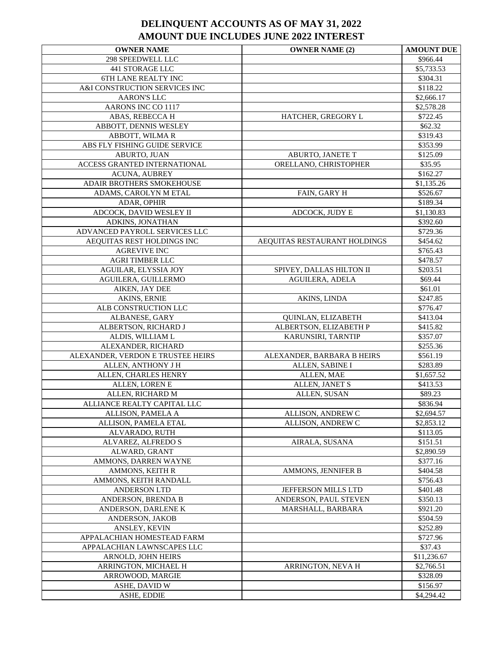| <b>OWNER NAME</b>                             | <b>OWNER NAME (2)</b>        | <b>AMOUNT DUE</b>         |
|-----------------------------------------------|------------------------------|---------------------------|
| 298 SPEEDWELL LLC                             |                              | \$966.44                  |
| <b>441 STORAGE LLC</b>                        |                              | \$5,733.53                |
| 6TH LANE REALTY INC                           |                              | \$304.31                  |
| A&I CONSTRUCTION SERVICES INC                 |                              | \$118.22                  |
| <b>AARON'S LLC</b>                            |                              | \$2,666.17                |
| AARONS INC CO 1117                            |                              | \$2,578.28                |
| ABAS, REBECCA H                               | HATCHER, GREGORY L           | \$722.45                  |
| ABBOTT, DENNIS WESLEY                         |                              | \$62.32                   |
| ABBOTT, WILMAR                                |                              | \$319.43                  |
| ABS FLY FISHING GUIDE SERVICE                 |                              | \$353.99                  |
| ABURTO, JUAN                                  | ABURTO, JANETE T             | \$125.09                  |
| ACCESS GRANTED INTERNATIONAL                  | ORELLANO, CHRISTOPHER        | \$35.95                   |
| ACUNA, AUBREY                                 |                              | \$162.27                  |
| ADAIR BROTHERS SMOKEHOUSE                     |                              | \$1,135.26                |
| ADAMS, CAROLYN M ETAL                         | FAIN, GARY H                 | \$526.67                  |
| ADAR, OPHIR                                   |                              | \$189.34                  |
| ADCOCK, DAVID WESLEY II                       | ADCOCK, JUDY E               | \$1,130.83                |
| ADKINS, JONATHAN                              |                              | \$392.60                  |
| ADVANCED PAYROLL SERVICES LLC                 |                              | \$729.36                  |
| AEQUITAS REST HOLDINGS INC                    | AEQUITAS RESTAURANT HOLDINGS | \$454.62                  |
| <b>AGREVIVE INC</b><br><b>AGRI TIMBER LLC</b> |                              | \$765.43<br>\$478.57      |
| AGUILAR, ELYSSIA JOY                          | SPIVEY, DALLAS HILTON II     | \$203.51                  |
| AGUILERA, GUILLERMO                           | AGUILERA, ADELA              | \$69.44                   |
| AIKEN, JAY DEE                                |                              | \$61.01                   |
| AKINS, ERNIE                                  | AKINS, LINDA                 | \$247.85                  |
| ALB CONSTRUCTION LLC                          |                              | \$776.47                  |
| ALBANESE, GARY                                | QUINLAN, ELIZABETH           | \$413.04                  |
| ALBERTSON, RICHARD J                          | ALBERTSON, ELIZABETH P       | \$415.82                  |
| ALDIS, WILLIAM L                              | KARUNSIRI, TARNTIP           | \$357.07                  |
| ALEXANDER, RICHARD                            |                              | \$255.36                  |
| ALEXANDER, VERDON E TRUSTEE HEIRS             | ALEXANDER, BARBARA B HEIRS   | \$561.19                  |
| ALLEN, ANTHONY J H                            | ALLEN, SABINE I              | \$283.89                  |
| ALLEN, CHARLES HENRY                          | ALLEN, MAE                   | \$1,657.52                |
| ALLEN, LOREN E                                | ALLEN, JANET S               | \$413.53                  |
| ALLEN, RICHARD M                              | ALLEN, SUSAN                 | \$89.23                   |
| ALLIANCE REALTY CAPITAL LLC                   |                              | \$836.94                  |
| ALLISON, PAMELA A                             | ALLISON, ANDREW C            | $\sqrt{$2,694.57}$        |
| ALLISON, PAMELA ETAL                          | ALLISON, ANDREW C            | \$2,853.12                |
| ALVARADO, RUTH                                |                              | \$113.05                  |
| ALVAREZ, ALFREDO S                            | AIRALA, SUSANA               | \$151.51                  |
| ALWARD, GRANT                                 |                              | \$2,890.59                |
| AMMONS, DARREN WAYNE                          |                              | \$377.16                  |
| AMMONS, KEITH R                               | AMMONS, JENNIFER B           | \$404.58                  |
| AMMONS, KEITH RANDALL                         |                              | \$756.43                  |
| <b>ANDERSON LTD</b>                           | JEFFERSON MILLS LTD          | \$401.48                  |
| ANDERSON, BRENDA B                            | ANDERSON, PAUL STEVEN        | \$350.13                  |
| ANDERSON, DARLENE K                           | MARSHALL, BARBARA            | \$921.20                  |
| ANDERSON, JAKOB                               |                              | \$504.59                  |
| ANSLEY, KEVIN                                 |                              | \$252.89                  |
| APPALACHIAN HOMESTEAD FARM                    |                              | \$727.96                  |
| APPALACHIAN LAWNSCAPES LLC                    |                              | \$37.43                   |
| ARNOLD, JOHN HEIRS<br>ARRINGTON, MICHAEL H    | ARRINGTON, NEVA H            | \$11,236.67<br>\$2,766.51 |
| ARROWOOD, MARGIE                              |                              | \$328.09                  |
| ASHE, DAVID W                                 |                              | \$156.97                  |
| ASHE, EDDIE                                   |                              | \$4,294.42                |
|                                               |                              |                           |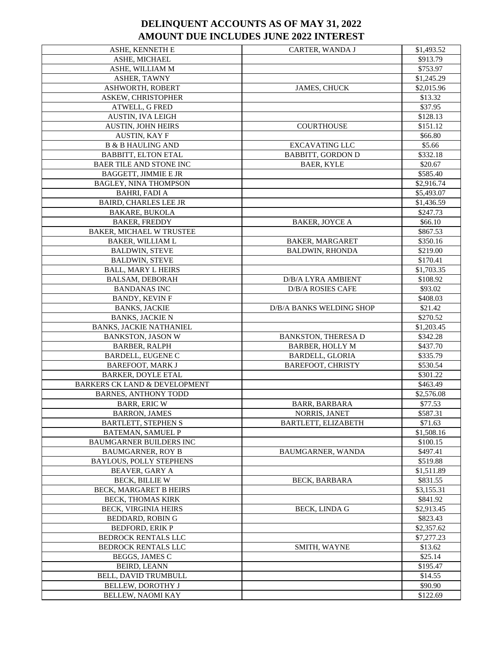| ASHE, KENNETH E                          | CARTER, WANDA J            | \$1,493.52 |
|------------------------------------------|----------------------------|------------|
| <b>ASHE, MICHAEL</b>                     |                            | \$913.79   |
| ASHE, WILLIAM M                          |                            | \$753.97   |
| ASHER, TAWNY                             |                            | \$1,245.29 |
| ASHWORTH, ROBERT                         | JAMES, CHUCK               | \$2,015.96 |
| ASKEW, CHRISTOPHER                       |                            | \$13.32    |
| ATWELL, G FRED                           |                            | \$37.95    |
| AUSTIN, IVA LEIGH                        |                            | \$128.13   |
| AUSTIN, JOHN HEIRS                       | <b>COURTHOUSE</b>          | \$151.12   |
| <b>AUSTIN, KAY F</b>                     |                            | \$66.80    |
| <b>B &amp; B HAULING AND</b>             | <b>EXCAVATING LLC</b>      | \$5.66     |
| <b>BABBITT, ELTON ETAL</b>               | <b>BABBITT, GORDON D</b>   | \$332.18   |
| <b>BAER TILE AND STONE INC</b>           | <b>BAER, KYLE</b>          | \$20.67    |
| <b>BAGGETT, JIMMIE E JR</b>              |                            | \$585.40   |
| BAGLEY, NINA THOMPSON                    |                            | \$2,916.74 |
| <b>BAHRI, FADI A</b>                     |                            | \$5,493.07 |
| <b>BAIRD, CHARLES LEE JR</b>             |                            | \$1,436.59 |
| <b>BAKARE, BUKOLA</b>                    |                            | \$247.73   |
| <b>BAKER, FREDDY</b>                     | <b>BAKER, JOYCE A</b>      | \$66.10    |
| <b>BAKER, MICHAEL W TRUSTEE</b>          |                            | \$867.53   |
| <b>BAKER, WILLIAM L</b>                  | <b>BAKER, MARGARET</b>     | \$350.16   |
| <b>BALDWIN, STEVE</b>                    | <b>BALDWIN, RHONDA</b>     | \$219.00   |
| <b>BALDWIN, STEVE</b>                    |                            | \$170.41   |
| <b>BALL, MARY L HEIRS</b>                |                            | \$1,703.35 |
| <b>BALSAM, DEBORAH</b>                   | D/B/A LYRA AMBIENT         | \$108.92   |
| <b>BANDANAS INC</b>                      | <b>D/B/A ROSIES CAFE</b>   | \$93.02    |
| <b>BANDY, KEVIN F</b>                    |                            | \$408.03   |
| <b>BANKS, JACKIE</b>                     | D/B/A BANKS WELDING SHOP   | \$21.42    |
| <b>BANKS, JACKIE N</b>                   |                            | \$270.52   |
| <b>BANKS, JACKIE NATHANIEL</b>           |                            | \$1,203.45 |
| <b>BANKSTON, JASON W</b>                 | <b>BANKSTON, THERESA D</b> | \$342.28   |
| <b>BARBER, RALPH</b>                     | <b>BARBER, HOLLY M</b>     | \$437.70   |
| <b>BARDELL, EUGENE C</b>                 | <b>BARDELL, GLORIA</b>     | \$335.79   |
| <b>BAREFOOT, MARK J</b>                  | <b>BAREFOOT, CHRISTY</b>   | \$530.54   |
| <b>BARKER, DOYLE ETAL</b>                |                            | \$301.22   |
| <b>BARKERS CK LAND &amp; DEVELOPMENT</b> |                            | \$463.49   |
| <b>BARNES, ANTHONY TODD</b>              |                            | \$2,576.08 |
| <b>BARR, ERIC W</b>                      | <b>BARR, BARBARA</b>       | \$77.53    |
| <b>BARRON, JAMES</b>                     | NORRIS, JANET              | \$587.31   |
| <b>BARTLETT, STEPHEN S</b>               | BARTLETT, ELIZABETH        | \$71.63    |
| <b>BATEMAN, SAMUEL P</b>                 |                            | \$1,508.16 |
| <b>BAUMGARNER BUILDERS INC</b>           |                            | \$100.15   |
| <b>BAUMGARNER, ROY B</b>                 | BAUMGARNER, WANDA          | \$497.41   |
| <b>BAYLOUS, POLLY STEPHENS</b>           |                            | \$519.88   |
| <b>BEAVER, GARY A</b>                    |                            | \$1,511.89 |
| <b>BECK, BILLIE W</b>                    | <b>BECK, BARBARA</b>       | \$831.55   |
| BECK, MARGARET B HEIRS                   |                            | \$3,155.31 |
| BECK, THOMAS KIRK                        |                            | \$841.92   |
| BECK, VIRGINIA HEIRS                     | <b>BECK, LINDA G</b>       | \$2,913.45 |
| BEDDARD, ROBIN G                         |                            | \$823.43   |
| <b>BEDFORD, ERIK P</b>                   |                            | \$2,357.62 |
| BEDROCK RENTALS LLC                      |                            | \$7,277.23 |
| <b>BEDROCK RENTALS LLC</b>               | SMITH, WAYNE               | \$13.62    |
| BEGGS, JAMES C                           |                            | \$25.14    |
| <b>BEIRD, LEANN</b>                      |                            | \$195.47   |
| BELL, DAVID TRUMBULL                     |                            | \$14.55    |
| BELLEW, DOROTHY J                        |                            | \$90.90    |
| BELLEW, NAOMI KAY                        |                            | \$122.69   |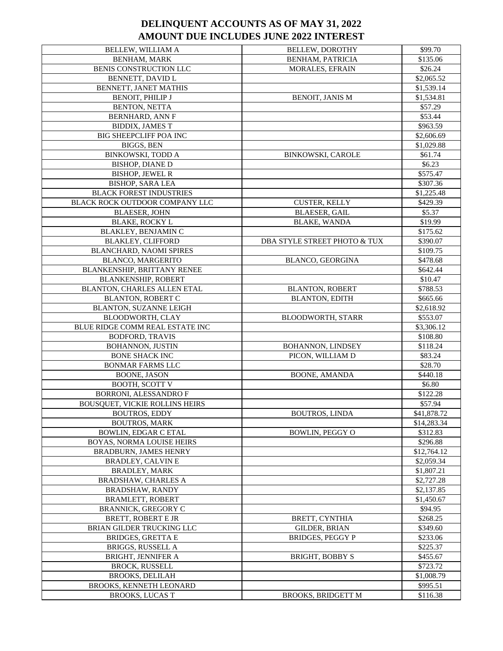| BELLEW, WILLIAM A                            | <b>BELLEW, DOROTHY</b>       | \$99.70     |
|----------------------------------------------|------------------------------|-------------|
| <b>BENHAM, MARK</b>                          | <b>BENHAM, PATRICIA</b>      | \$135.06    |
| BENIS CONSTRUCTION LLC                       | MORALES, EFRAIN              | \$26.24     |
| BENNETT, DAVID L                             |                              | \$2,065.52  |
| BENNETT, JANET MATHIS                        |                              | \$1,539.14  |
| BENOIT, PHILIP J                             | <b>BENOIT, JANIS M</b>       | \$1,534.81  |
| BENTON, NETTA                                |                              | \$57.29     |
| <b>BERNHARD, ANN F</b>                       |                              | \$53.44     |
| <b>BIDDIX, JAMES T</b>                       |                              | \$963.59    |
| <b>BIG SHEEPCLIFF POA INC</b>                |                              | \$2,606.69  |
| <b>BIGGS, BEN</b>                            |                              | \$1,029.88  |
| BINKOWSKI, TODD A                            | <b>BINKOWSKI, CAROLE</b>     | \$61.74     |
| <b>BISHOP, DIANE D</b>                       |                              | \$6.23      |
| <b>BISHOP, JEWEL R</b>                       |                              | \$575.47    |
| <b>BISHOP, SARA LEA</b>                      |                              | \$307.36    |
| <b>BLACK FOREST INDUSTRIES</b>               |                              | \$1,225.48  |
| BLACK ROCK OUTDOOR COMPANY LLC               | <b>CUSTER, KELLY</b>         | \$429.39    |
| <b>BLAESER, JOHN</b>                         | <b>BLAESER, GAIL</b>         | \$5.37      |
|                                              | <b>BLAKE, WANDA</b>          | \$19.99     |
| <b>BLAKE, ROCKY L</b><br>BLAKLEY, BENJAMIN C |                              | \$175.62    |
|                                              |                              |             |
| <b>BLAKLEY, CLIFFORD</b>                     | DBA STYLE STREET PHOTO & TUX | \$390.07    |
| BLANCHARD, NAOMI SPIRES                      |                              | \$109.75    |
| BLANCO, MARGERITO                            | <b>BLANCO, GEORGINA</b>      | \$478.68    |
| BLANKENSHIP, BRITTANY RENEE                  |                              | \$642.44    |
| <b>BLANKENSHIP, ROBERT</b>                   |                              | \$10.47     |
| BLANTON, CHARLES ALLEN ETAL                  | <b>BLANTON, ROBERT</b>       | \$788.53    |
| <b>BLANTON, ROBERT C</b>                     | <b>BLANTON, EDITH</b>        | \$665.66    |
| BLANTON, SUZANNE LEIGH                       |                              | \$2,618.92  |
| BLOODWORTH, CLAY                             | <b>BLOODWORTH, STARR</b>     | \$553.07    |
| BLUE RIDGE COMM REAL ESTATE INC              |                              | \$3,306.12  |
| <b>BODFORD, TRAVIS</b>                       |                              | \$108.80    |
| <b>BOHANNON, JUSTIN</b>                      | <b>BOHANNON, LINDSEY</b>     | \$118.24    |
| <b>BONE SHACK INC</b>                        | PICON, WILLIAM D             | \$83.24     |
| <b>BONMAR FARMS LLC</b>                      |                              | \$28.70     |
| BOONE, JASON                                 | <b>BOONE, AMANDA</b>         | \$440.18    |
| <b>BOOTH, SCOTT V</b>                        |                              | \$6.80      |
| <b>BORRONI, ALESSANDRO F</b>                 |                              | \$122.28    |
| <b>BOUSQUET, VICKIE ROLLINS HEIRS</b>        |                              | \$57.94     |
| <b>BOUTROS, EDDY</b>                         | <b>BOUTROS, LINDA</b>        | \$41,878.72 |
| <b>BOUTROS, MARK</b>                         |                              | \$14,283.34 |
| <b>BOWLIN, EDGAR C ETAL</b>                  | <b>BOWLIN. PEGGY O</b>       | \$312.83    |
| BOYAS, NORMA LOUISE HEIRS                    |                              | \$296.88    |
| <b>BRADBURN, JAMES HENRY</b>                 |                              | \$12,764.12 |
| <b>BRADLEY, CALVIN E</b>                     |                              | \$2,059.34  |
| <b>BRADLEY, MARK</b>                         |                              | \$1,807.21  |
| BRADSHAW, CHARLES A                          |                              | \$2,727.28  |
| <b>BRADSHAW, RANDY</b>                       |                              | \$2,137.85  |
| <b>BRAMLETT, ROBERT</b>                      |                              | \$1,450.67  |
| <b>BRANNICK, GREGORY C</b>                   |                              | \$94.95     |
| <b>BRETT, ROBERT E JR</b>                    | BRETT, CYNTHIA               | \$268.25    |
| BRIAN GILDER TRUCKING LLC                    | GILDER, BRIAN                | \$349.60    |
| <b>BRIDGES, GRETTA E</b>                     | <b>BRIDGES, PEGGY P</b>      | \$233.06    |
| BRIGGS, RUSSELL A                            |                              | \$225.37    |
| <b>BRIGHT, JENNIFER A</b>                    | <b>BRIGHT, BOBBY S</b>       | \$455.67    |
| <b>BROCK, RUSSELL</b>                        |                              | \$723.72    |
| <b>BROOKS, DELILAH</b>                       |                              | \$1,008.79  |
| BROOKS, KENNETH LEONARD                      |                              | \$995.51    |
| <b>BROOKS, LUCAS T</b>                       | <b>BROOKS, BRIDGETT M</b>    | \$116.38    |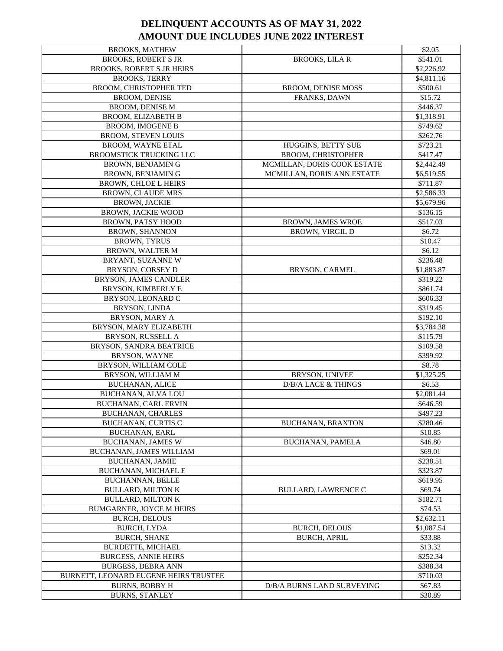| <b>BROOKS, MATHEW</b>                 |                             | \$2.05     |
|---------------------------------------|-----------------------------|------------|
| <b>BROOKS, ROBERT S JR</b>            | <b>BROOKS, LILA R</b>       | \$541.01   |
| BROOKS, ROBERT S JR HEIRS             |                             | \$2,226.92 |
| <b>BROOKS, TERRY</b>                  |                             | \$4,811.16 |
| BROOM, CHRISTOPHER TED                | <b>BROOM, DENISE MOSS</b>   | \$500.61   |
| <b>BROOM, DENISE</b>                  | FRANKS, DAWN                | \$15.72    |
| <b>BROOM, DENISE M</b>                |                             | \$446.37   |
| <b>BROOM, ELIZABETH B</b>             |                             | \$1,318.91 |
| <b>BROOM, IMOGENE B</b>               |                             | \$749.62   |
| <b>BROOM, STEVEN LOUIS</b>            |                             | \$262.76   |
| BROOM, WAYNE ETAL                     | HUGGINS, BETTY SUE          | \$723.21   |
| BROOMSTICK TRUCKING LLC               | BROOM, CHRISTOPHER          | \$417.47   |
| <b>BROWN, BENJAMIN G</b>              | MCMILLAN, DORIS COOK ESTATE | \$2,442.49 |
| BROWN, BENJAMIN G                     | MCMILLAN, DORIS ANN ESTATE  | \$6,519.55 |
| <b>BROWN, CHLOE L HEIRS</b>           |                             | \$711.87   |
| <b>BROWN, CLAUDE MRS</b>              |                             | \$2,586.33 |
| <b>BROWN, JACKIE</b>                  |                             | \$5,679.96 |
| <b>BROWN, JACKIE WOOD</b>             |                             | \$136.15   |
| <b>BROWN, PATSY HOOD</b>              | <b>BROWN, JAMES WROE</b>    | \$517.03   |
| <b>BROWN, SHANNON</b>                 | <b>BROWN, VIRGIL D</b>      | \$6.72     |
| <b>BROWN, TYRUS</b>                   |                             | \$10.47    |
| <b>BROWN, WALTER M</b>                |                             | \$6.12     |
| BRYANT, SUZANNE W                     |                             | \$236.48   |
| BRYSON, CORSEY D                      | <b>BRYSON, CARMEL</b>       | \$1,883.87 |
| BRYSON, JAMES CANDLER                 |                             | \$319.22   |
| BRYSON, KIMBERLY E                    |                             | \$861.74   |
| BRYSON, LEONARD C                     |                             | \$606.33   |
| BRYSON, LINDA                         |                             | \$319.45   |
| BRYSON, MARY A                        |                             | \$192.10   |
| BRYSON, MARY ELIZABETH                |                             | \$3,784.38 |
| BRYSON, RUSSELL A                     |                             | \$115.79   |
| BRYSON, SANDRA BEATRICE               |                             | \$109.58   |
| BRYSON, WAYNE                         |                             | \$399.92   |
| BRYSON, WILLIAM COLE                  |                             | \$8.78     |
| BRYSON, WILLIAM M                     | BRYSON, UNIVEE              | \$1,325.25 |
| <b>BUCHANAN, ALICE</b>                | D/B/A LACE & THINGS         | \$6.53     |
| BUCHANAN, ALVA LOU                    |                             | \$2,081.44 |
| <b>BUCHANAN, CARL ERVIN</b>           |                             | \$646.59   |
| <b>BUCHANAN, CHARLES</b>              |                             | \$497.23   |
| <b>BUCHANAN, CURTIS C</b>             | <b>BUCHANAN, BRAXTON</b>    | \$280.46   |
| <b>BUCHANAN, EARL</b>                 |                             | \$10.85    |
| <b>BUCHANAN, JAMES W</b>              | <b>BUCHANAN, PAMELA</b>     | \$46.80    |
| BUCHANAN, JAMES WILLIAM               |                             | \$69.01    |
| <b>BUCHANAN, JAMIE</b>                |                             | \$238.51   |
| <b>BUCHANAN, MICHAEL E</b>            |                             | \$323.87   |
| <b>BUCHANNAN, BELLE</b>               |                             | \$619.95   |
| <b>BULLARD, MILTON K</b>              | <b>BULLARD, LAWRENCE C</b>  | \$69.74    |
| <b>BULLARD, MILTON K</b>              |                             | \$182.71   |
| <b>BUMGARNER, JOYCE M HEIRS</b>       |                             | \$74.53    |
| <b>BURCH, DELOUS</b>                  |                             | \$2,632.11 |
| <b>BURCH, LYDA</b>                    | <b>BURCH, DELOUS</b>        | \$1,087.54 |
| <b>BURCH, SHANE</b>                   | <b>BURCH, APRIL</b>         | \$33.88    |
| BURDETTE, MICHAEL                     |                             | \$13.32    |
| <b>BURGESS, ANNIE HEIRS</b>           |                             | \$252.34   |
| <b>BURGESS, DEBRA ANN</b>             |                             | \$388.34   |
| BURNETT, LEONARD EUGENE HEIRS TRUSTEE |                             | \$710.03   |
| <b>BURNS, BOBBY H</b>                 | D/B/A BURNS LAND SURVEYING  | \$67.83    |
| <b>BURNS, STANLEY</b>                 |                             | \$30.89    |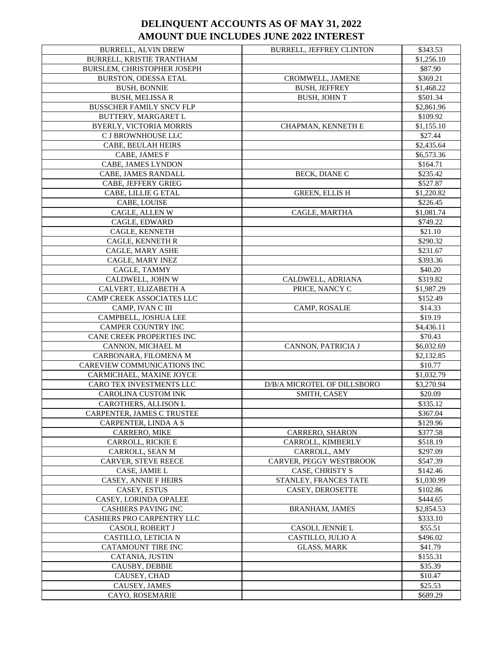| <b>BURRELL, ALVIN DREW</b>                           | <b>BURRELL, JEFFREY CLINTON</b> | \$343.53   |
|------------------------------------------------------|---------------------------------|------------|
| BURRELL, KRISTIE TRANTHAM                            |                                 | \$1,256.10 |
| <b>BURSLEM. CHRISTOPHER JOSEPH</b>                   |                                 | \$87.90    |
| <b>BURSTON, ODESSA ETAL</b>                          | CROMWELL, JAMENE                | \$369.21   |
| <b>BUSH, BONNIE</b>                                  | <b>BUSH, JEFFREY</b>            | \$1,468.22 |
| <b>BUSH, MELISSA R</b>                               | <b>BUSH, JOHN T</b>             | \$501.34   |
| <b>BUSSCHER FAMILY SNCV FLP</b>                      |                                 | \$2,861.96 |
| BUTTERY, MARGARET L                                  |                                 | \$109.92   |
| BYERLY, VICTORIA MORRIS                              | CHAPMAN, KENNETH E              | \$1,155.10 |
| C J BROWNHOUSE LLC                                   |                                 | \$27.44    |
| CABE, BEULAH HEIRS                                   |                                 | \$2,435.64 |
| CABE, JAMES F                                        |                                 | \$6,573.36 |
| CABE, JAMES LYNDON                                   |                                 | \$164.71   |
| CABE, JAMES RANDALL                                  | BECK, DIANE C                   | \$235.42   |
| CABE, JEFFERY GRIEG                                  |                                 | \$527.87   |
| CABE, LILLIE G ETAL                                  | <b>GREEN, ELLIS H</b>           | \$1,220.82 |
| CABE, LOUISE                                         |                                 | \$226.45   |
| CAGLE, ALLEN W                                       | CAGLE, MARTHA                   | \$1,081.74 |
| CAGLE, EDWARD                                        |                                 | \$749.22   |
| CAGLE, KENNETH                                       |                                 | \$21.10    |
| CAGLE, KENNETH R                                     |                                 | \$290.32   |
| CAGLE, MARY ASHE                                     |                                 | \$231.67   |
| CAGLE, MARY INEZ                                     |                                 | \$393.36   |
| CAGLE, TAMMY                                         |                                 | \$40.20    |
| CALDWELL, JOHN W                                     | CALDWELL, ADRIANA               | \$319.82   |
| CALVERT, ELIZABETH A                                 | PRICE, NANCY C                  | \$1,987.29 |
| CAMP CREEK ASSOCIATES LLC                            |                                 | \$152.49   |
| CAMP, IVAN C III                                     | CAMP, ROSALIE                   | \$14.33    |
|                                                      |                                 |            |
| CAMPBELL, JOSHUA LEE                                 |                                 | \$19.19    |
| CAMPER COUNTRY INC                                   |                                 | \$4,436.11 |
| CANE CREEK PROPERTIES INC                            |                                 | \$70.43    |
| CANNON, MICHAEL M                                    | CANNON, PATRICIA J              | \$6,032.69 |
| CARBONARA, FILOMENA M<br>CAREVIEW COMMUNICATIONS INC |                                 | \$2,132.85 |
|                                                      |                                 | \$10.77    |
| CARMICHAEL, MAXINE JOYCE                             |                                 | \$1,032.79 |
| CARO TEX INVESTMENTS LLC                             | D/B/A MICROTEL OF DILLSBORO     | \$3,270.94 |
| CAROLINA CUSTOM INK                                  | SMITH, CASEY                    | \$20.09    |
| CAROTHERS, ALLISON L                                 |                                 | \$335.12   |
| CARPENTER, JAMES C TRUSTEE                           |                                 | \$367.04   |
| CARPENTER, LINDA A S                                 |                                 | \$129.96   |
| CARRERO, MIKE                                        | CARRERO, SHARON                 | \$377.58   |
| CARROLL, RICKIE E                                    | CARROLL, KIMBERLY               | \$518.19   |
| CARROLL, SEAN M                                      | CARROLL, AMY                    | \$297.09   |
| <b>CARVER, STEVE REECE</b>                           | CARVER, PEGGY WESTBROOK         | \$547.39   |
| CASE, JAMIE L                                        | CASE, CHRISTY S                 | \$142.46   |
| <b>CASEY, ANNIE F HEIRS</b>                          | STANLEY, FRANCES TATE           | \$1,030.99 |
| CASEY, ESTUS                                         | <b>CASEY, DEROSETTE</b>         | \$102.86   |
| CASEY, LORINDA OPALEE                                |                                 | \$444.65   |
| <b>CASHIERS PAVING INC</b>                           | <b>BRANHAM, JAMES</b>           | \$2,854.53 |
| CASHIERS PRO CARPENTRY LLC                           |                                 | \$333.10   |
| CASOLI, ROBERT J                                     | CASOLI, JENNIE L                | \$55.51    |
| CASTILLO, LETICIA N                                  | CASTILLO, JULIO A               | \$496.02   |
| CATAMOUNT TIRE INC                                   | <b>GLASS, MARK</b>              | \$41.79    |
| CATANIA, JUSTIN                                      |                                 | \$155.31   |
| CAUSBY, DEBBIE                                       |                                 | \$35.39    |
| CAUSEY, CHAD                                         |                                 | \$10.47    |
| CAUSEY, JAMES                                        |                                 | \$25.53    |
| CAYO, ROSEMARIE                                      |                                 | \$689.29   |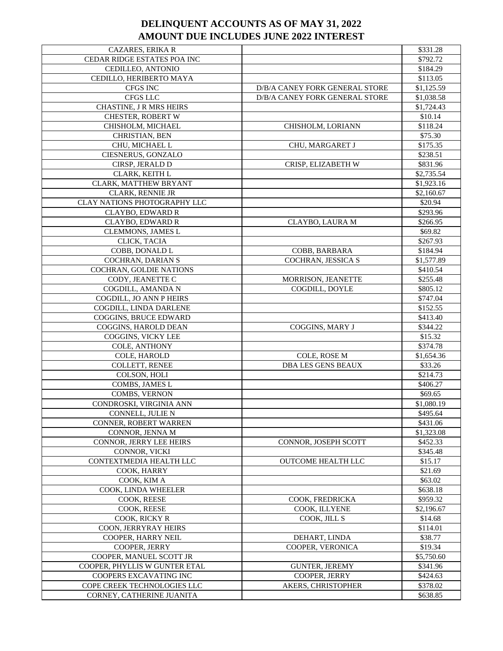| CAZARES, ERIKA R                    |                                | \$331.28   |
|-------------------------------------|--------------------------------|------------|
| CEDAR RIDGE ESTATES POA INC         |                                | \$792.72   |
| CEDILLEO, ANTONIO                   |                                | \$184.29   |
| CEDILLO, HERIBERTO MAYA             |                                | \$113.05   |
| CFGS INC                            | D/B/A CANEY FORK GENERAL STORE | \$1,125.59 |
| CFGS LLC                            | D/B/A CANEY FORK GENERAL STORE | \$1,038.58 |
| CHASTINE, J R MRS HEIRS             |                                | \$1,724.43 |
| CHESTER, ROBERT W                   |                                | \$10.14    |
| CHISHOLM, MICHAEL                   | CHISHOLM, LORIANN              | \$118.24   |
| CHRISTIAN, BEN                      |                                | \$75.30    |
| CHU, MICHAEL L                      | CHU, MARGARET J                | \$175.35   |
| CIESNERUS, GONZALO                  |                                | \$238.51   |
| CIRSP, JERALD D                     | CRISP, ELIZABETH W             | \$831.96   |
| CLARK, KEITH L                      |                                | \$2,735.54 |
| CLARK, MATTHEW BRYANT               |                                | \$1,923.16 |
| CLARK, RENNIE JR                    |                                | \$2,160.67 |
| <b>CLAY NATIONS PHOTOGRAPHY LLC</b> |                                | \$20.94    |
| CLAYBO, EDWARD R                    |                                | \$293.96   |
| CLAYBO, EDWARD R                    | CLAYBO, LAURA M                | \$266.95   |
| CLEMMONS, JAMES L                   |                                | \$69.82    |
| CLICK, TACIA                        |                                | \$267.93   |
| COBB, DONALD L                      | COBB, BARBARA                  | \$184.94   |
| COCHRAN, DARIAN S                   | COCHRAN, JESSICA S             | \$1,577.89 |
| COCHRAN, GOLDIE NATIONS             |                                | \$410.54   |
| CODY, JEANETTE C                    | MORRISON, JEANETTE             | \$255.48   |
| COGDILL, AMANDA N                   | COGDILL, DOYLE                 | \$805.12   |
| COGDILL, JO ANN P HEIRS             |                                | \$747.04   |
| COGDILL, LINDA DARLENE              |                                | \$152.55   |
| COGGINS, BRUCE EDWARD               |                                | \$413.40   |
| COGGINS, HAROLD DEAN                | COGGINS, MARY J                | \$344.22   |
| COGGINS, VICKY LEE                  |                                | \$15.32    |
| COLE, ANTHONY                       |                                | \$374.78   |
| COLE, HAROLD                        | COLE, ROSE M                   | \$1,654.36 |
| COLLETT, RENEE                      | <b>DBA LES GENS BEAUX</b>      | \$33.26    |
| COLSON, HOLI                        |                                | \$214.73   |
| COMBS, JAMES L                      |                                | \$406.27   |
| COMBS, VERNON                       |                                | \$69.65    |
| CONDROSKI, VIRGINIA ANN             |                                | \$1,080.19 |
| CONNELL, JULIE N                    |                                | \$495.64   |
| <b>CONNER, ROBERT WARREN</b>        |                                | \$431.06   |
| CONNOR, JENNA M                     |                                | \$1,323.08 |
| CONNOR, JERRY LEE HEIRS             | <b>CONNOR, JOSEPH SCOTT</b>    | \$452.33   |
| CONNOR, VICKI                       |                                | \$345.48   |
| CONTEXTMEDIA HEALTH LLC             | OUTCOME HEALTH LLC             | \$15.17    |
| COOK, HARRY                         |                                | \$21.69    |
| COOK. KIM A                         |                                | \$63.02    |
| COOK, LINDA WHEELER                 |                                | \$638.18   |
| COOK, REESE                         | COOK, FREDRICKA                | \$959.32   |
| COOK, REESE                         | COOK, ILLYENE                  | \$2,196.67 |
| COOK, RICKY R                       | COOK, JILL S                   | \$14.68    |
| COON, JERRYRAY HEIRS                |                                | \$114.01   |
| COOPER, HARRY NEIL                  | DEHART, LINDA                  | \$38.77    |
| COOPER, JERRY                       | COOPER, VERONICA               | \$19.34    |
| COOPER, MANUEL SCOTT JR             |                                | \$5,750.60 |
| COOPER, PHYLLIS W GUNTER ETAL       | <b>GUNTER, JEREMY</b>          | \$341.96   |
| COOPERS EXCAVATING INC              | COOPER, JERRY                  | \$424.63   |
| COPE CREEK TECHNOLOGIES LLC         | AKERS, CHRISTOPHER             | \$378.02   |
| CORNEY, CATHERINE JUANITA           |                                | \$638.85   |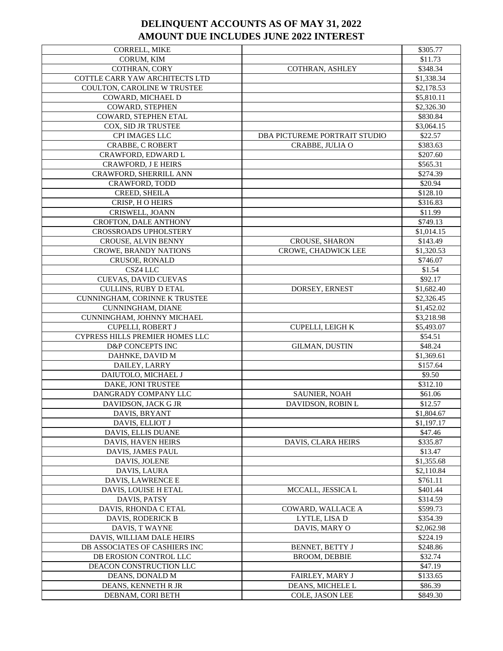| CORRELL, MIKE                        |                               | \$305.77             |
|--------------------------------------|-------------------------------|----------------------|
| CORUM, KIM                           |                               | \$11.73              |
| COTHRAN, CORY                        | COTHRAN, ASHLEY               | \$348.34             |
| COTTLE CARR YAW ARCHITECTS LTD       |                               | \$1,338.34           |
| COULTON, CAROLINE W TRUSTEE          |                               | \$2,178.53           |
| COWARD, MICHAEL D                    |                               | \$5,810.11           |
| COWARD, STEPHEN                      |                               | \$2,326.30           |
| COWARD, STEPHEN ETAL                 |                               | \$830.84             |
| COX, SID JR TRUSTEE                  |                               | \$3,064.15           |
| CPI IMAGES LLC                       | DBA PICTUREME PORTRAIT STUDIO | \$22.57              |
|                                      | CRABBE, JULIA O               |                      |
| <b>CRABBE, C ROBERT</b>              |                               | \$383.63             |
| CRAWFORD, EDWARD L                   |                               | \$207.60             |
| CRAWFORD, J E HEIRS                  |                               | \$565.31             |
| CRAWFORD, SHERRILL ANN               |                               | \$274.39             |
| CRAWFORD, TODD                       |                               | \$20.94              |
| CREED, SHEILA                        |                               | \$128.10             |
| CRISP, HO HEIRS                      |                               | \$316.83             |
| CRISWELL, JOANN                      |                               | \$11.99              |
| CROFTON, DALE ANTHONY                |                               | \$749.13             |
| CROSSROADS UPHOLSTERY                |                               | \$1,014.15           |
| CROUSE, ALVIN BENNY                  | CROUSE, SHARON                | \$143.49             |
| CROWE, BRANDY NATIONS                | <b>CROWE, CHADWICK LEE</b>    | \$1,320.53           |
| <b>CRUSOE, RONALD</b>                |                               | \$746.07             |
| CSZ4 LLC                             |                               | \$1.54               |
| CUEVAS, DAVID CUEVAS                 |                               | \$92.17              |
| CULLINS, RUBY D ETAL                 | DORSEY, ERNEST                | \$1,682.40           |
| CUNNINGHAM, CORINNE K TRUSTEE        |                               | \$2,326.45           |
| CUNNINGHAM, DIANE                    |                               | \$1,452.02           |
| CUNNINGHAM, JOHNNY MICHAEL           |                               | \$3,218.98           |
| CUPELLI, ROBERT J                    | CUPELLI, LEIGH K              | \$5,493.07           |
| CYPRESS HILLS PREMIER HOMES LLC      |                               | \$54.51              |
| D&P CONCEPTS INC                     | <b>GILMAN, DUSTIN</b>         | \$48.24              |
| DAHNKE, DAVID M                      |                               | \$1,369.61           |
| DAILEY, LARRY                        |                               | \$157.64             |
| DAIUTOLO, MICHAEL J                  |                               | \$9.50               |
| DAKE, JONI TRUSTEE                   |                               | \$312.10             |
| DANGRADY COMPANY LLC                 | SAUNIER, NOAH                 | \$61.06              |
| DAVIDSON, JACK G JR                  | DAVIDSON, ROBIN L             | \$12.57              |
| DAVIS, BRYANT                        |                               | \$1,804.67           |
| DAVIS, ELLIOT J                      |                               | \$1,197.17           |
| DAVIS, ELLIS DUANE                   |                               | \$47.46              |
| DAVIS, HAVEN HEIRS                   | DAVIS, CLARA HEIRS            | \$335.87             |
| DAVIS, JAMES PAUL                    |                               | \$13.47              |
| DAVIS, JOLENE                        |                               | \$1,355.68           |
| DAVIS, LAURA                         |                               | \$2,110.84           |
| DAVIS, LAWRENCE E                    |                               | \$761.11             |
| DAVIS, LOUISE H ETAL                 | MCCALL, JESSICA L             | \$401.44             |
|                                      |                               |                      |
| DAVIS, PATSY<br>DAVIS, RHONDA C ETAL | COWARD, WALLACE A             | \$314.59<br>\$599.73 |
|                                      |                               |                      |
| <b>DAVIS. RODERICK B</b>             | LYTLE, LISA D                 | \$354.39             |
| DAVIS, T WAYNE                       | DAVIS, MARY O                 | \$2,062.98           |
| DAVIS, WILLIAM DALE HEIRS            |                               | \$224.19             |
| DB ASSOCIATES OF CASHIERS INC        | BENNET, BETTY J               | \$248.86             |
| DB EROSION CONTROL LLC               | <b>BROOM, DEBBIE</b>          | \$32.74              |
| DEACON CONSTRUCTION LLC              |                               | \$47.19              |
| DEANS, DONALD M                      | FAIRLEY, MARY J               | \$133.65             |
| DEANS, KENNETH R JR                  | DEANS, MICHELE L              | \$86.39              |
| DEBNAM, CORI BETH                    | COLE, JASON LEE               | \$849.30             |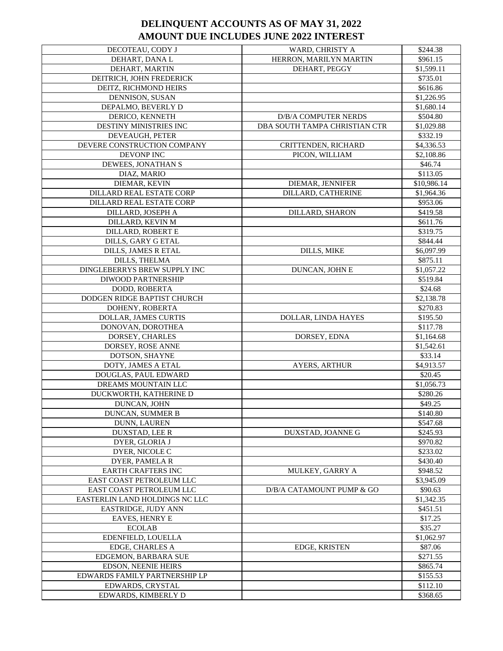| DECOTEAU, CODY J               | WARD, CHRISTY A               | \$244.38    |
|--------------------------------|-------------------------------|-------------|
| DEHART, DANA L                 | HERRON, MARILYN MARTIN        | \$961.15    |
| DEHART, MARTIN                 | DEHART, PEGGY                 | \$1,599.11  |
| DEITRICH, JOHN FREDERICK       |                               | \$735.01    |
| DEITZ, RICHMOND HEIRS          |                               | \$616.86    |
| DENNISON, SUSAN                |                               | \$1,226.95  |
| DEPALMO, BEVERLY D             |                               | \$1,680.14  |
| DERICO, KENNETH                | D/B/A COMPUTER NERDS          | \$504.80    |
| DESTINY MINISTRIES INC         | DBA SOUTH TAMPA CHRISTIAN CTR | \$1,029.88  |
| DEVEAUGH, PETER                |                               | \$332.19    |
| DEVERE CONSTRUCTION COMPANY    | CRITTENDEN, RICHARD           | \$4,336.53  |
| DEVONP INC                     | PICON, WILLIAM                | \$2,108.86  |
| DEWEES, JONATHAN S             |                               | \$46.74     |
| DIAZ, MARIO                    |                               | \$113.05    |
| DIEMAR, KEVIN                  | DIEMAR, JENNIFER              | \$10,986.14 |
| DILLARD REAL ESTATE CORP       | DILLARD, CATHERINE            | \$1,964.36  |
| DILLARD REAL ESTATE CORP       |                               | \$953.06    |
| DILLARD, JOSEPH A              | DILLARD, SHARON               | \$419.58    |
| DILLARD, KEVIN M               |                               | \$611.76    |
| <b>DILLARD, ROBERT E</b>       |                               | \$319.75    |
| DILLS, GARY G ETAL             |                               | \$844.44    |
| DILLS, JAMES R ETAL            | <b>DILLS, MIKE</b>            | \$6,097.99  |
| DILLS, THELMA                  |                               | \$875.11    |
| DINGLEBERRYS BREW SUPPLY INC   | DUNCAN, JOHN E                | \$1,057.22  |
| <b>DIWOOD PARTNERSHIP</b>      |                               | \$519.84    |
| DODD, ROBERTA                  |                               | \$24.68     |
| DODGEN RIDGE BAPTIST CHURCH    |                               | \$2,138.78  |
| DOHENY, ROBERTA                |                               | \$270.83    |
| DOLLAR, JAMES CURTIS           | DOLLAR, LINDA HAYES           | \$195.50    |
| DONOVAN, DOROTHEA              |                               | \$117.78    |
| DORSEY, CHARLES                | DORSEY, EDNA                  | \$1,164.68  |
| DORSEY, ROSE ANNE              |                               | \$1,542.61  |
| DOTSON, SHAYNE                 |                               | \$33.14     |
| DOTY, JAMES A ETAL             | <b>AYERS, ARTHUR</b>          | \$4,913.57  |
| DOUGLAS, PAUL EDWARD           |                               | \$20.45     |
| DREAMS MOUNTAIN LLC            |                               | \$1,056.73  |
| DUCKWORTH, KATHERINE D         |                               | \$280.26    |
| DUNCAN, JOHN                   |                               | \$49.25     |
| <b>DUNCAN, SUMMER B</b>        |                               | \$140.80    |
| <b>DUNN, LAUREN</b>            |                               | \$547.68    |
| DUXSTAD, LEE R                 | DUXSTAD, JOANNE G             | \$245.93    |
| DYER, GLORIA J                 |                               | \$970.82    |
| DYER, NICOLE C                 |                               | \$233.02    |
| DYER, PAMELA R                 |                               | \$430.40    |
| <b>EARTH CRAFTERS INC</b>      | MULKEY, GARRY A               | \$948.52    |
| EAST COAST PETROLEUM LLC       |                               | \$3,945.09  |
| EAST COAST PETROLEUM LLC       | D/B/A CATAMOUNT PUMP & GO     | \$90.63     |
| EASTERLIN LAND HOLDINGS NC LLC |                               | \$1,342.35  |
| EASTRIDGE, JUDY ANN            |                               | \$451.51    |
| <b>EAVES, HENRY E</b>          |                               | \$17.25     |
| <b>ECOLAB</b>                  |                               | \$35.27     |
| EDENFIELD, LOUELLA             |                               | \$1,062.97  |
| EDGE, CHARLES A                | EDGE, KRISTEN                 | \$87.06     |
| EDGEMON, BARBARA SUE           |                               | \$271.55    |
| EDSON, NEENIE HEIRS            |                               | \$865.74    |
| EDWARDS FAMILY PARTNERSHIP LP  |                               | \$155.53    |
| EDWARDS, CRYSTAL               |                               | \$112.10    |
| EDWARDS, KIMBERLY D            |                               | \$368.65    |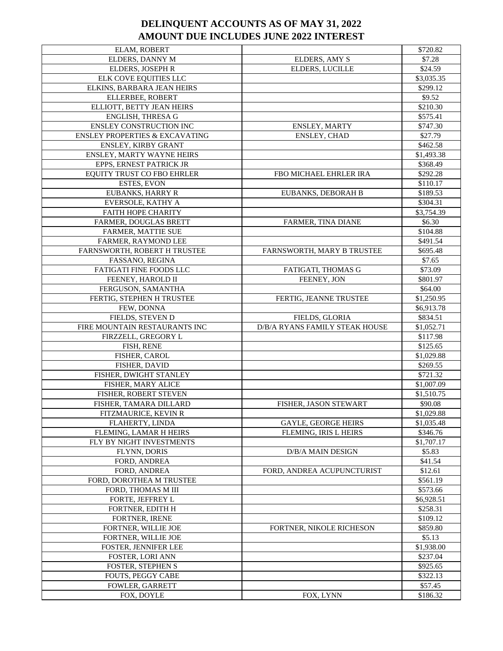| ELAM, ROBERT                              |                                | \$720.82            |
|-------------------------------------------|--------------------------------|---------------------|
| ELDERS, DANNY M                           | ELDERS, AMY S                  | \$7.28              |
| ELDERS, JOSEPH R                          | <b>ELDERS, LUCILLE</b>         | \$24.59             |
| ELK COVE EQUITIES LLC                     |                                | \$3,035.35          |
| ELKINS, BARBARA JEAN HEIRS                |                                | \$299.12            |
| ELLERBEE, ROBERT                          |                                | \$9.52              |
| ELLIOTT, BETTY JEAN HEIRS                 |                                | \$210.30            |
| ENGLISH, THRESA G                         |                                | \$575.41            |
| <b>ENSLEY CONSTRUCTION INC</b>            | ENSLEY, MARTY                  | \$747.30            |
| <b>ENSLEY PROPERTIES &amp; EXCAVATING</b> | ENSLEY, CHAD                   | \$27.79             |
| ENSLEY, KIRBY GRANT                       |                                | \$462.58            |
| <b>ENSLEY, MARTY WAYNE HEIRS</b>          |                                | \$1,493.38          |
| EPPS, ERNEST PATRICK JR                   |                                | \$368.49            |
| EQUITY TRUST CO FBO EHRLER                | FBO MICHAEL EHRLER IRA         | \$292.28            |
| <b>ESTES, EVON</b>                        |                                | \$110.17            |
|                                           |                                |                     |
| EUBANKS, HARRY R                          | EUBANKS, DEBORAH B             | \$189.53            |
| EVERSOLE, KATHY A                         |                                | \$304.31            |
| <b>FAITH HOPE CHARITY</b>                 |                                | \$3,754.39          |
| FARMER, DOUGLAS BRETT                     | FARMER, TINA DIANE             | \$6.30              |
| FARMER, MATTIE SUE                        |                                | \$104.88            |
| FARMER, RAYMOND LEE                       |                                | \$491.54            |
| FARNSWORTH, ROBERT H TRUSTEE              | FARNSWORTH, MARY B TRUSTEE     | \$695.48            |
| FASSANO, REGINA                           |                                | \$7.65              |
| FATIGATI FINE FOODS LLC                   | FATIGATI, THOMAS G             | \$73.09             |
| FEENEY, HAROLD II                         | FEENEY, JON                    | \$801.97            |
| FERGUSON, SAMANTHA                        |                                | \$64.00             |
| FERTIG, STEPHEN H TRUSTEE                 | FERTIG, JEANNE TRUSTEE         | \$1,250.95          |
| FEW, DONNA                                |                                | \$6,913.78          |
| FIELDS, STEVEN D                          | FIELDS, GLORIA                 | \$834.51            |
| FIRE MOUNTAIN RESTAURANTS INC             | D/B/A RYANS FAMILY STEAK HOUSE | \$1,052.71          |
| FIRZZELL, GREGORY L                       |                                | \$117.98            |
| FISH, RENE                                |                                | \$125.65            |
| FISHER, CAROL                             |                                | \$1,029.88          |
| FISHER, DAVID                             |                                | \$269.55            |
| FISHER, DWIGHT STANLEY                    |                                | \$721.32            |
| FISHER, MARY ALICE                        |                                | \$1,007.09          |
| FISHER, ROBERT STEVEN                     |                                | \$1,510.75          |
| FISHER, TAMARA DILLARD                    | FISHER, JASON STEWART          | \$90.08             |
| FITZMAURICE, KEVIN R                      |                                | \$1,029.88          |
| FLAHERTY, LINDA                           | <b>GAYLE, GEORGE HEIRS</b>     | \$1,035.48          |
| FLEMING, LAMAR H HEIRS                    | FLEMING, IRIS L HEIRS          | \$346.76            |
| FLY BY NIGHT INVESTMENTS                  |                                | \$1,707.17          |
| FLYNN, DORIS                              | D/B/A MAIN DESIGN              | \$5.83              |
| FORD, ANDREA                              |                                | \$41.54             |
| FORD, ANDREA                              | FORD, ANDREA ACUPUNCTURIST     | \$12.61             |
| FORD, DOROTHEA M TRUSTEE                  |                                | \$561.19            |
| FORD, THOMAS M III                        |                                | \$573.66            |
| FORTE, JEFFREY L                          |                                | \$6,928.51          |
| FORTNER, EDITH H                          |                                | \$258.31            |
| FORTNER, IRENE                            |                                | \$109.12            |
| FORTNER, WILLIE JOE                       | FORTNER, NIKOLE RICHESON       | \$859.80            |
| FORTNER, WILLIE JOE                       |                                | \$5.13              |
|                                           |                                | \$1,938.00          |
| FOSTER, JENNIFER LEE                      |                                |                     |
| FOSTER, LORI ANN                          |                                | \$237.04            |
| <b>FOSTER, STEPHEN S</b>                  |                                | \$925.65            |
| FOUTS, PEGGY CABE                         |                                |                     |
|                                           |                                | \$322.13            |
| FOWLER, GARRETT<br>FOX, DOYLE             | FOX, LYNN                      | \$57.45<br>\$186.32 |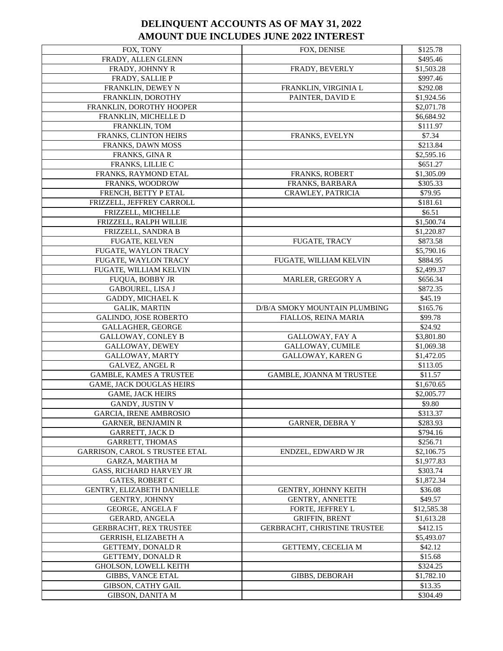| FOX, TONY                                     | FOX, DENISE                     | \$125.78            |
|-----------------------------------------------|---------------------------------|---------------------|
| FRADY, ALLEN GLENN                            |                                 | \$495.46            |
| FRADY, JOHNNY R                               | FRADY, BEVERLY                  | \$1,503.28          |
| FRADY, SALLIE P                               |                                 | \$997.46            |
| FRANKLIN, DEWEY N                             | FRANKLIN, VIRGINIA L            | \$292.08            |
| FRANKLIN, DOROTHY                             | PAINTER, DAVID E                | \$1,924.56          |
| FRANKLIN, DOROTHY HOOPER                      |                                 | \$2,071.78          |
| FRANKLIN, MICHELLE D                          |                                 | \$6,684.92          |
| FRANKLIN, TOM                                 |                                 | \$111.97            |
| FRANKS, CLINTON HEIRS                         | FRANKS, EVELYN                  | \$7.34              |
| FRANKS, DAWN MOSS                             |                                 | \$213.84            |
| FRANKS, GINA R                                |                                 | \$2,595.16          |
| FRANKS, LILLIE C                              |                                 | \$651.27            |
| FRANKS, RAYMOND ETAL                          | <b>FRANKS, ROBERT</b>           | \$1,305.09          |
| FRANKS, WOODROW                               | FRANKS, BARBARA                 | \$305.33            |
| FRENCH, BETTY P ETAL                          | <b>CRAWLEY, PATRICIA</b>        | \$79.95             |
| FRIZZELL, JEFFREY CARROLL                     |                                 | \$181.61            |
| FRIZZELL, MICHELLE                            |                                 | \$6.51              |
| FRIZZELL, RALPH WILLIE                        |                                 | \$1,500.74          |
| FRIZZELL, SANDRA B                            |                                 | \$1,220.87          |
| FUGATE, KELVEN                                | <b>FUGATE, TRACY</b>            | \$873.58            |
| FUGATE, WAYLON TRACY                          |                                 | \$5,790.16          |
| FUGATE, WAYLON TRACY                          | FUGATE, WILLIAM KELVIN          | \$884.95            |
| FUGATE, WILLIAM KELVIN                        |                                 | \$2,499.37          |
| FUQUA, BOBBY JR                               | MARLER, GREGORY A               | \$656.34            |
| <b>GABOUREL, LISA J</b>                       |                                 | \$872.35            |
| GADDY, MICHAEL K                              |                                 | \$45.19             |
| <b>GALIK, MARTIN</b>                          | D/B/A SMOKY MOUNTAIN PLUMBING   | \$165.76            |
| GALINDO, JOSE ROBERTO                         | FIALLOS, REINA MARIA            | \$99.78             |
| <b>GALLAGHER, GEORGE</b>                      |                                 | \$24.92             |
| <b>GALLOWAY, CONLEY B</b>                     | GALLOWAY, FAY A                 | \$3,801.80          |
| GALLOWAY, DEWEY                               | GALLOWAY, CUMILE                | \$1,069.38          |
| GALLOWAY, MARTY                               | GALLOWAY, KAREN G               | \$1,472.05          |
| <b>GALVEZ, ANGEL R</b>                        |                                 | \$113.05            |
| <b>GAMBLE, KAMES A TRUSTEE</b>                | <b>GAMBLE, JOANNA M TRUSTEE</b> | \$11.57             |
| <b>GAME, JACK DOUGLAS HEIRS</b>               |                                 | \$1,670.65          |
| <b>GAME, JACK HEIRS</b>                       |                                 | \$2,005.77          |
| GANDY, JUSTIN V                               |                                 | \$9.80              |
| <b>GARCIA, IRENE AMBROSIO</b>                 |                                 | \$313.37            |
| <b>GARNER, BENJAMIN R</b>                     | <b>GARNER, DEBRA Y</b>          | \$283.93            |
| <b>GARRETT, JACK D</b>                        |                                 | \$794.16            |
| <b>GARRETT, THOMAS</b>                        |                                 | \$256.71            |
| GARRISON, CAROL S TRUSTEE ETAL                | ENDZEL, EDWARD W JR             | \$2,106.75          |
| GARZA, MARTHA M                               |                                 | \$1,977.83          |
| <b>GASS, RICHARD HARVEY JR</b>                |                                 | \$303.74            |
| <b>GATES, ROBERT C</b>                        |                                 | \$1,872.34          |
| GENTRY, ELIZABETH DANIELLE                    | <b>GENTRY, JOHNNY KEITH</b>     | \$36.08             |
| GENTRY, JOHNNY                                | <b>GENTRY, ANNETTE</b>          | \$49.57             |
| GEORGE, ANGELA F                              | FORTE, JEFFREY L                | \$12,585.38         |
| GERARD, ANGELA                                | <b>GRIFFIN, BRENT</b>           | \$1,613.28          |
| <b>GERBRACHT, REX TRUSTEE</b>                 | GERBRACHT, CHRISTINE TRUSTEE    | \$412.15            |
| GERRISH, ELIZABETH A                          |                                 | \$5,493.07          |
|                                               |                                 |                     |
| GETTEMY, DONALD R                             | GETTEMY, CECELIA M              | \$42.12             |
| GETTEMY, DONALD R                             |                                 | \$15.68             |
| <b>GHOLSON, LOWELL KEITH</b>                  |                                 | \$324.25            |
| <b>GIBBS, VANCE ETAL</b>                      | <b>GIBBS, DEBORAH</b>           | \$1,782.10          |
| GIBSON, CATHY GAIL<br><b>GIBSON, DANITA M</b> |                                 | \$13.35<br>\$304.49 |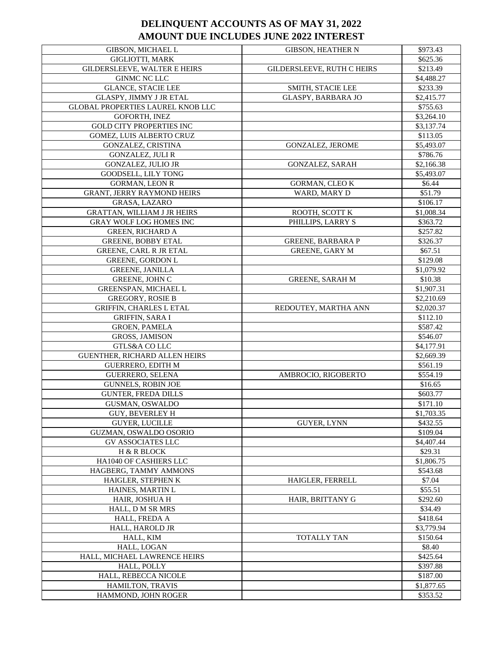| GIBSON, MICHAEL L                 | <b>GIBSON, HEATHER N</b>   | \$973.43   |
|-----------------------------------|----------------------------|------------|
| <b>GIGLIOTTI, MARK</b>            |                            | \$625.36   |
| GILDERSLEEVE, WALTER E HEIRS      | GILDERSLEEVE, RUTH C HEIRS | \$213.49   |
| GINMC NC LLC                      |                            | \$4,488.27 |
| <b>GLANCE, STACIE LEE</b>         | SMITH, STACIE LEE          | \$233.39   |
| <b>GLASPY, JIMMY J JR ETAL</b>    | <b>GLASPY, BARBARA JO</b>  | \$2,415.77 |
| GLOBAL PROPERTIES LAUREL KNOB LLC |                            | \$755.63   |
| GOFORTH, INEZ                     |                            | \$3,264.10 |
| <b>GOLD CITY PROPERTIES INC</b>   |                            | \$3,137.74 |
| GOMEZ, LUIS ALBERTO CRUZ          |                            | \$113.05   |
| GONZALEZ, CRISTINA                | GONZALEZ, JEROME           | \$5,493.07 |
| <b>GONZALEZ, JULI R</b>           |                            | \$786.76   |
| <b>GONZALEZ, JULIO JR</b>         | <b>GONZALEZ, SARAH</b>     | \$2,166.38 |
| GOODSELL, LILY TONG               |                            | \$5,493.07 |
| <b>GORMAN, LEON R</b>             | <b>GORMAN, CLEO K</b>      | \$6.44     |
| <b>GRANT, JERRY RAYMOND HEIRS</b> | WARD, MARY D               | \$51.79    |
| GRASA, LAZARO                     |                            | \$106.17   |
| GRATTAN, WILLIAM J JR HEIRS       | ROOTH, SCOTT K             | \$1,008.34 |
| <b>GRAY WOLF LOG HOMES INC</b>    | PHILLIPS, LARRY S          | \$363.72   |
| <b>GREEN, RICHARD A</b>           |                            | \$257.82   |
| <b>GREENE, BOBBY ETAL</b>         | <b>GREENE, BARBARA P</b>   | \$326.37   |
| GREENE, CARL R JR ETAL            | <b>GREENE, GARY M</b>      | \$67.51    |
| <b>GREENE, GORDON L</b>           |                            | \$129.08   |
| <b>GREENE, JANILLA</b>            |                            | \$1,079.92 |
| GREENE, JOHN C                    | <b>GREENE, SARAH M</b>     | \$10.38    |
| GREENSPAN, MICHAEL L              |                            | \$1,907.31 |
| <b>GREGORY, ROSIE B</b>           |                            | \$2,210.69 |
| GRIFFIN, CHARLES L ETAL           | REDOUTEY, MARTHA ANN       | \$2,020.37 |
| <b>GRIFFIN, SARA I</b>            |                            | \$112.10   |
| <b>GROEN, PAMELA</b>              |                            | \$587.42   |
| <b>GROSS, JAMISON</b>             |                            | \$546.07   |
| GTLS&A CO LLC                     |                            | \$4,177.91 |
| GUENTHER, RICHARD ALLEN HEIRS     |                            | \$2,669.39 |
| <b>GUERRERO, EDITH M</b>          |                            | \$561.19   |
| <b>GUERRERO, SELENA</b>           | AMBROCIO, RIGOBERTO        | \$554.19   |
| <b>GUNNELS, ROBIN JOE</b>         |                            | \$16.65    |
| <b>GUNTER, FREDA DILLS</b>        |                            | \$603.77   |
| GUSMAN, OSWALDO                   |                            | \$171.10   |
| <b>GUY, BEVERLEY H</b>            |                            | \$1,703.35 |
| <b>GUYER, LUCILLE</b>             | <b>GUYER, LYNN</b>         | \$432.55   |
| GUZMAN, OSWALDO OSORIO            |                            | \$109.04   |
| <b>GV ASSOCIATES LLC</b>          |                            | \$4,407.44 |
| H & R BLOCK                       |                            | \$29.31    |
| HA1040 OF CASHIERS LLC            |                            | \$1,806.75 |
| HAGBERG, TAMMY AMMONS             |                            | \$543.68   |
| HAIGLER, STEPHEN K                | HAIGLER, FERRELL           | \$7.04     |
| <b>HAINES, MARTIN L</b>           |                            | \$55.51    |
| HAIR, JOSHUA H                    | HAIR, BRITTANY G           | \$292.60   |
| HALL, D M SR MRS                  |                            | \$34.49    |
| HALL, FREDA A                     |                            | \$418.64   |
| HALL, HAROLD JR                   |                            | \$3,779.94 |
| HALL, KIM                         | TOTALLY TAN                | \$150.64   |
| HALL, LOGAN                       |                            | \$8.40     |
| HALL, MICHAEL LAWRENCE HEIRS      |                            | \$425.64   |
| HALL, POLLY                       |                            | \$397.88   |
| HALL, REBECCA NICOLE              |                            | \$187.00   |
| HAMILTON, TRAVIS                  |                            | \$1,877.65 |
| HAMMOND, JOHN ROGER               |                            | \$353.52   |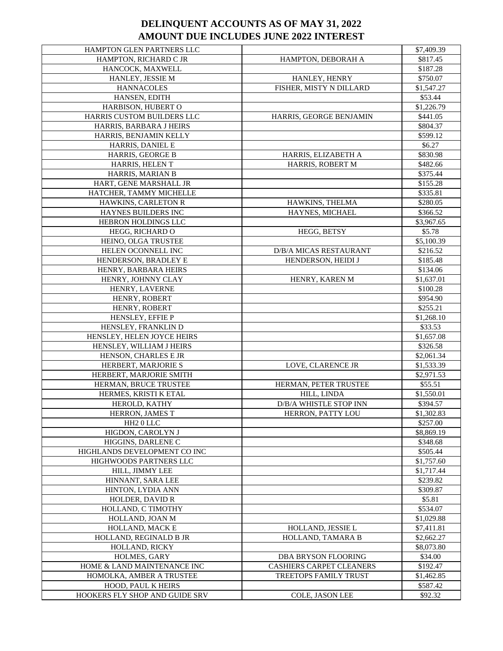| HAMPTON GLEN PARTNERS LLC    |                                 | \$7,409.39 |
|------------------------------|---------------------------------|------------|
| HAMPTON, RICHARD C JR        | HAMPTON, DEBORAH A              | \$817.45   |
| HANCOCK, MAXWELL             |                                 | \$187.28   |
| HANLEY, JESSIE M             | HANLEY, HENRY                   | \$750.07   |
| <b>HANNACOLES</b>            | FISHER, MISTY N DILLARD         | \$1,547.27 |
| HANSEN, EDITH                |                                 | \$53.44    |
| HARBISON, HUBERT O           |                                 | \$1,226.79 |
| HARRIS CUSTOM BUILDERS LLC   | HARRIS, GEORGE BENJAMIN         | \$441.05   |
| HARRIS, BARBARA J HEIRS      |                                 | \$804.37   |
| HARRIS, BENJAMIN KELLY       |                                 | \$599.12   |
| HARRIS, DANIEL E             |                                 | \$6.27     |
| HARRIS, GEORGE B             | HARRIS, ELIZABETH A             | \$830.98   |
| HARRIS, HELEN T              | HARRIS, ROBERT M                | \$482.66   |
| HARRIS, MARIAN B             |                                 | \$375.44   |
| HART, GENE MARSHALL JR       |                                 | \$155.28   |
| HATCHER, TAMMY MICHELLE      |                                 | \$335.81   |
| HAWKINS, CARLETON R          | HAWKINS, THELMA                 | \$280.05   |
| HAYNES BUILDERS INC          | HAYNES, MICHAEL                 | \$366.52   |
| HEBRON HOLDINGS LLC          |                                 | \$3,967.65 |
| HEGG, RICHARD O              | HEGG, BETSY                     | \$5.78     |
| HEINO, OLGA TRUSTEE          |                                 | \$5,100.39 |
| HELEN OCONNELL INC           | D/B/A MICAS RESTAURANT          | \$216.52   |
| HENDERSON, BRADLEY E         | HENDERSON, HEIDI J              | \$185.48   |
| HENRY, BARBARA HEIRS         |                                 | \$134.06   |
| HENRY, JOHNNY CLAY           | HENRY, KAREN M                  | \$1,637.01 |
| HENRY, LAVERNE               |                                 | \$100.28   |
| HENRY, ROBERT                |                                 | \$954.90   |
| HENRY, ROBERT                |                                 | \$255.21   |
| HENSLEY, EFFIE P             |                                 | \$1,268.10 |
| HENSLEY, FRANKLIN D          |                                 | \$33.53    |
| HENSLEY, HELEN JOYCE HEIRS   |                                 | \$1,657.08 |
| HENSLEY, WILLIAM J HEIRS     |                                 | \$326.58   |
| HENSON, CHARLES E JR         |                                 | \$2,061.34 |
| HERBERT, MARJORIE S          | LOVE, CLARENCE JR               | \$1,533.39 |
| HERBERT, MARJORIE SMITH      |                                 | \$2,971.53 |
| HERMAN, BRUCE TRUSTEE        | HERMAN, PETER TRUSTEE           | \$55.51    |
| HERMES, KRISTI K ETAL        | HILL, LINDA                     | \$1,550.01 |
| HEROLD, KATHY                | D/B/A WHISTLE STOP INN          | \$394.57   |
| HERRON, JAMES T              | HERRON, PATTY LOU               | \$1,302.83 |
| HH <sub>2</sub> 0 LLC        |                                 | \$257.00   |
| HIGDON, CAROLYN J            |                                 | \$8,869.19 |
| HIGGINS, DARLENE C           |                                 | \$348.68   |
| HIGHLANDS DEVELOPMENT CO INC |                                 | \$505.44   |
| HIGHWOODS PARTNERS LLC       |                                 | \$1,757.60 |
| HILL, JIMMY LEE              |                                 | \$1,717.44 |
| HINNANT, SARA LEE            |                                 | \$239.82   |
| HINTON, LYDIA ANN            |                                 | \$309.87   |
| HOLDER, DAVID R              |                                 |            |
|                              |                                 | \$5.81     |
| HOLLAND, C TIMOTHY           |                                 | \$534.07   |
| HOLLAND, JOAN M              |                                 | \$1,029.88 |
| HOLLAND, MACK E              | HOLLAND, JESSIE L               | \$7,411.81 |
| HOLLAND, REGINALD B JR       | HOLLAND, TAMARA B               | \$2,662.27 |
| HOLLAND, RICKY               |                                 | \$8,073.80 |
| HOLMES, GARY                 | DBA BRYSON FLOORING             | \$34.00    |
| HOME & LAND MAINTENANCE INC  | <b>CASHIERS CARPET CLEANERS</b> | \$192.47   |
| HOMOLKA, AMBER A TRUSTEE     | <b>TREETOPS FAMILY TRUST</b>    | \$1,462.85 |
| HOOD, PAUL K HEIRS           |                                 | \$587.42   |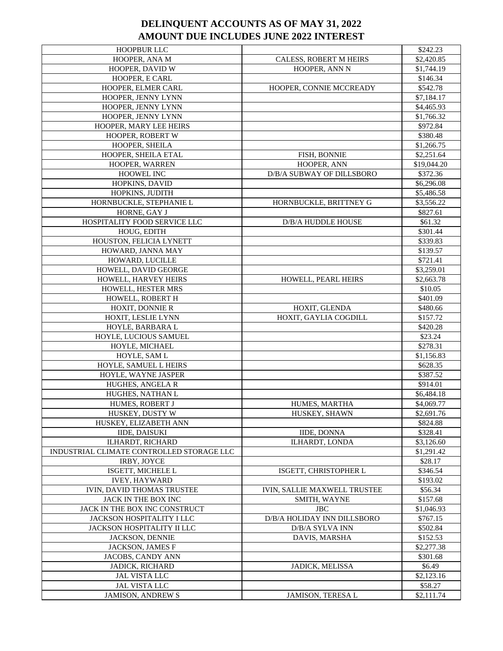| <b>HOOPBUR LLC</b>                        |                                     | \$242.23    |
|-------------------------------------------|-------------------------------------|-------------|
| HOOPER, ANA M                             | CALESS, ROBERT M HEIRS              | \$2,420.85  |
| HOOPER, DAVID W                           | HOOPER, ANN N                       | \$1,744.19  |
| HOOPER, E CARL                            |                                     | \$146.34    |
| HOOPER, ELMER CARL                        | HOOPER, CONNIE MCCREADY             | \$542.78    |
| HOOPER, JENNY LYNN                        |                                     | \$7,184.17  |
| HOOPER, JENNY LYNN                        |                                     | \$4,465.93  |
| HOOPER, JENNY LYNN                        |                                     | \$1,766.32  |
| HOOPER, MARY LEE HEIRS                    |                                     | \$972.84    |
| HOOPER, ROBERT W                          |                                     | \$380.48    |
| HOOPER, SHEILA                            |                                     | \$1,266.75  |
| HOOPER, SHEILA ETAL                       | FISH, BONNIE                        | \$2,251.64  |
| HOOPER, WARREN                            | HOOPER, ANN                         | \$19,044.20 |
| HOOWEL INC                                | D/B/A SUBWAY OF DILLSBORO           | \$372.36    |
| HOPKINS, DAVID                            |                                     | \$6,296.08  |
| HOPKINS, JUDITH                           |                                     | \$5,486.58  |
| HORNBUCKLE, STEPHANIE L                   | HORNBUCKLE, BRITTNEY G              | \$3,556.22  |
| HORNE, GAY J                              |                                     | \$827.61    |
| HOSPITALITY FOOD SERVICE LLC              | <b>D/B/A HUDDLE HOUSE</b>           | \$61.32     |
| HOUG, EDITH                               |                                     | \$301.44    |
| HOUSTON, FELICIA LYNETT                   |                                     | \$339.83    |
| HOWARD, JANNA MAY                         |                                     | \$139.57    |
| HOWARD, LUCILLE                           |                                     | \$721.41    |
| HOWELL, DAVID GEORGE                      |                                     | \$3,259.01  |
| HOWELL, HARVEY HEIRS                      | <b>HOWELL, PEARL HEIRS</b>          | \$2,663.78  |
| HOWELL, HESTER MRS                        |                                     | \$10.05     |
| HOWELL, ROBERT H                          |                                     | \$401.09    |
| HOXIT, DONNIE R                           | HOXIT, GLENDA                       | \$480.66    |
| HOXIT, LESLIE LYNN                        | HOXIT, GAYLIA COGDILL               | \$157.72    |
| HOYLE, BARBARA L                          |                                     | \$420.28    |
| HOYLE, LUCIOUS SAMUEL                     |                                     | \$23.24     |
| HOYLE, MICHAEL                            |                                     | \$278.31    |
| HOYLE, SAM L                              |                                     | \$1,156.83  |
| HOYLE, SAMUEL L HEIRS                     |                                     | \$628.35    |
| HOYLE, WAYNE JASPER                       |                                     | \$387.52    |
| HUGHES, ANGELA R                          |                                     | \$914.01    |
| HUGHES, NATHAN L                          |                                     | \$6,484.18  |
| HUMES, ROBERT J                           | HUMES, MARTHA                       | \$4,069.77  |
| HUSKEY, DUSTY W                           | HUSKEY, SHAWN                       | \$2,691.76  |
| HUSKEY, ELIZABETH ANN                     |                                     | \$824.88    |
| <b>IIDE, DAISUKI</b>                      | <b>IIDE, DONNA</b>                  | \$328.41    |
| ILHARDT, RICHARD                          | ILHARDT, LONDA                      | \$3,126.60  |
| INDUSTRIAL CLIMATE CONTROLLED STORAGE LLC |                                     | \$1,291.42  |
| IRBY, JOYCE                               |                                     | \$28.17     |
| ISGETT, MICHELE L                         | ISGETT, CHRISTOPHER L               | \$346.54    |
| <b>IVEY, HAYWARD</b>                      |                                     | \$193.02    |
| IVIN, DAVID THOMAS TRUSTEE                | <b>IVIN, SALLIE MAXWELL TRUSTEE</b> | \$56.34     |
| JACK IN THE BOX INC                       | SMITH, WAYNE                        | \$157.68    |
| JACK IN THE BOX INC CONSTRUCT             | <b>JBC</b>                          | \$1,046.93  |
| JACKSON HOSPITALITY I LLC                 | D/B/A HOLIDAY INN DILLSBORO         | \$767.15    |
| JACKSON HOSPITALITY II LLC                | D/B/A SYLVA INN                     | \$502.84    |
| JACKSON, DENNIE                           | DAVIS, MARSHA                       | \$152.53    |
| JACKSON, JAMES F                          |                                     | \$2,277.38  |
| JACOBS, CANDY ANN                         |                                     | \$301.68    |
| JADICK, RICHARD                           | JADICK, MELISSA                     | \$6.49      |
| JAL VISTA LLC                             |                                     | \$2,123.16  |
| <b>JAL VISTA LLC</b>                      |                                     | \$58.27     |
| <b>JAMISON, ANDREW S</b>                  | JAMISON, TERESA L                   | \$2,111.74  |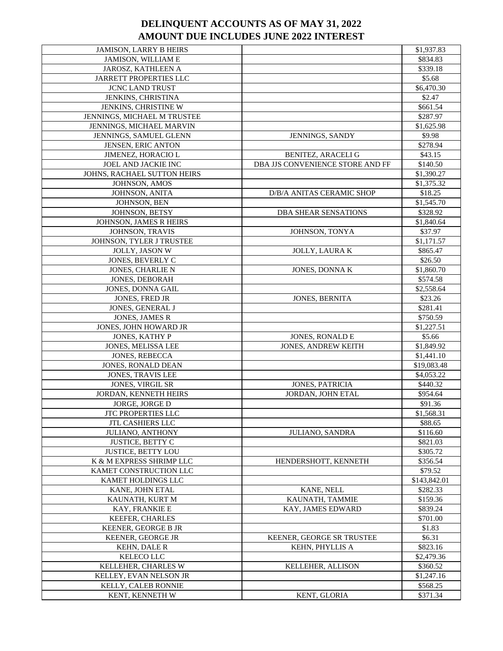| <b>JAMISON, LARRY B HEIRS</b> |                                  | \$1,937.83   |
|-------------------------------|----------------------------------|--------------|
| JAMISON, WILLIAM E            |                                  | \$834.83     |
| JAROSZ, KATHLEEN A            |                                  | \$339.18     |
| <b>JARRETT PROPERTIES LLC</b> |                                  | \$5.68       |
| <b>JCNC LAND TRUST</b>        |                                  | \$6,470.30   |
| JENKINS, CHRISTINA            |                                  | \$2.47       |
| JENKINS, CHRISTINE W          |                                  | \$661.54     |
| JENNINGS, MICHAEL M TRUSTEE   |                                  | \$287.97     |
| JENNINGS, MICHAEL MARVIN      |                                  | \$1,625.98   |
| JENNINGS, SAMUEL GLENN        | JENNINGS, SANDY                  | \$9.98       |
| JENSEN, ERIC ANTON            |                                  | \$278.94     |
| JIMENEZ, HORACIO L            | BENITEZ, ARACELI G               | \$43.15      |
| JOEL AND JACKIE INC           | DBA JJS CONVENIENCE STORE AND FF | \$140.50     |
| JOHNS, RACHAEL SUTTON HEIRS   |                                  | \$1,390.27   |
| JOHNSON, AMOS                 |                                  | \$1,375.32   |
| JOHNSON, ANITA                | D/B/A ANITAS CERAMIC SHOP        | \$18.25      |
| JOHNSON, BEN                  |                                  | \$1,545.70   |
| JOHNSON, BETSY                | <b>DBA SHEAR SENSATIONS</b>      | \$328.92     |
| JOHNSON, JAMES R HEIRS        |                                  | \$1,840.64   |
| JOHNSON, TRAVIS               | JOHNSON, TONYA                   | \$37.97      |
| JOHNSON, TYLER J TRUSTEE      |                                  | \$1,171.57   |
| JOLLY, JASON W                | <b>JOLLY, LAURAK</b>             | \$865.47     |
| JONES, BEVERLY C              |                                  | \$26.50      |
| JONES, CHARLIE N              | JONES, DONNA K                   | \$1,860.70   |
| <b>JONES, DEBORAH</b>         |                                  | \$574.58     |
| JONES, DONNA GAIL             |                                  | \$2,558.64   |
| JONES, FRED JR                | <b>JONES, BERNITA</b>            | \$23.26      |
| JONES, GENERAL J              |                                  | \$281.41     |
| JONES, JAMES R                |                                  | \$750.59     |
| JONES, JOHN HOWARD JR         |                                  | \$1,227.51   |
| JONES, KATHY P                | <b>JONES, RONALD E</b>           | \$5.66       |
| JONES, MELISSA LEE            | <b>JONES, ANDREW KEITH</b>       | \$1,849.92   |
| JONES, REBECCA                |                                  | \$1,441.10   |
| JONES, RONALD DEAN            |                                  | \$19,083.48  |
| JONES, TRAVIS LEE             |                                  | \$4,053.22   |
| JONES, VIRGIL SR              | <b>JONES, PATRICIA</b>           | \$440.32     |
| JORDAN, KENNETH HEIRS         | JORDAN, JOHN ETAL                | \$954.64     |
| JORGE, JORGE D                |                                  | \$91.36      |
| JTC PROPERTIES LLC            |                                  | \$1,568.31   |
| <b>JTL CASHIERS LLC</b>       |                                  | \$88.65      |
| <b>JULIANO, ANTHONY</b>       | <b>JULIANO, SANDRA</b>           | \$116.60     |
| <b>JUSTICE, BETTY C</b>       |                                  | \$821.03     |
| <b>JUSTICE, BETTY LOU</b>     |                                  | \$305.72     |
| K & M EXPRESS SHRIMP LLC      | HENDERSHOTT, KENNETH             | \$356.54     |
| KAMET CONSTRUCTION LLC        |                                  | \$79.52      |
| KAMET HOLDINGS LLC            |                                  | \$143,842.01 |
| KANE, JOHN ETAL               | KANE, NELL                       | \$282.33     |
| KAUNATH, KURT M               | KAUNATH, TAMMIE                  | \$159.36     |
| KAY, FRANKIE E                | KAY, JAMES EDWARD                | \$839.24     |
| <b>KEEFER, CHARLES</b>        |                                  | \$701.00     |
| KEENER, GEORGE B JR           |                                  | \$1.83       |
| KEENER, GEORGE JR             | KEENER, GEORGE SR TRUSTEE        | \$6.31       |
| <b>KEHN, DALE R</b>           | KEHN, PHYLLIS A                  | \$823.16     |
| KELECO LLC                    |                                  | \$2,479.36   |
| KELLEHER, CHARLES W           | <b>KELLEHER, ALLISON</b>         | \$360.52     |
| KELLEY, EVAN NELSON JR        |                                  | \$1,247.16   |
| KELLY, CALEB RONNIE           |                                  | \$568.25     |
| KENT, KENNETH W               | KENT, GLORIA                     | \$371.34     |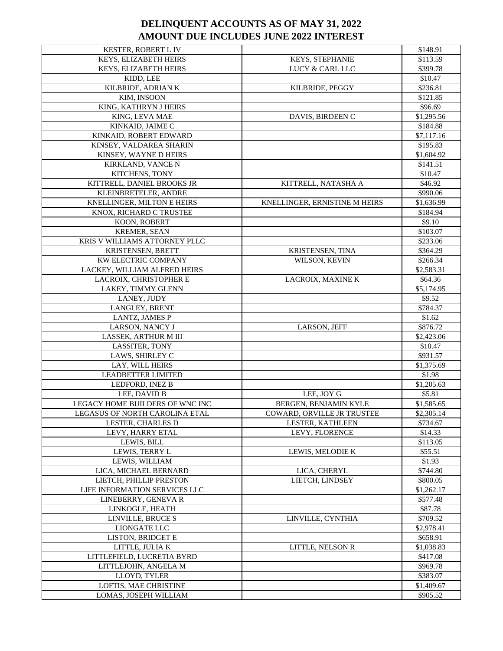| KESTER, ROBERT L IV             |                               | \$148.91   |
|---------------------------------|-------------------------------|------------|
| KEYS, ELIZABETH HEIRS           | KEYS, STEPHANIE               | \$113.59   |
| KEYS, ELIZABETH HEIRS           | LUCY & CARL LLC               | \$399.78   |
| KIDD, LEE                       |                               | \$10.47    |
| KILBRIDE, ADRIAN K              | KILBRIDE, PEGGY               | \$236.81   |
| KIM, INSOON                     |                               | \$121.85   |
| KING, KATHRYN J HEIRS           |                               | \$96.69    |
| KING, LEVA MAE                  | DAVIS, BIRDEEN C              | \$1,295.56 |
| KINKAID, JAIME C                |                               | \$184.88   |
| KINKAID, ROBERT EDWARD          |                               | \$7,117.16 |
| KINSEY, VALDAREA SHARIN         |                               | \$195.83   |
| KINSEY, WAYNE D HEIRS           |                               | \$1,604.92 |
| KIRKLAND, VANCE N               |                               | \$141.51   |
| KITCHENS, TONY                  |                               | \$10.47    |
| KITTRELL, DANIEL BROOKS JR      | KITTRELL, NATASHA A           | \$46.92    |
| KLEINBRETELER, ANDRE            |                               | \$990.06   |
| KNELLINGER, MILTON E HEIRS      | KNELLINGER, ERNISTINE M HEIRS | \$1,636.99 |
| KNOX, RICHARD C TRUSTEE         |                               | \$184.94   |
| KOON, ROBERT                    |                               | \$9.10     |
| KREMER, SEAN                    |                               | \$103.07   |
| KRIS V WILLIAMS ATTORNEY PLLC   |                               | \$233.06   |
| KRISTENSEN, BRETT               | KRISTENSEN, TINA              | \$364.29   |
| KW ELECTRIC COMPANY             | WILSON, KEVIN                 | \$266.34   |
| LACKEY, WILLIAM ALFRED HEIRS    |                               | \$2,583.31 |
| LACROIX, CHRISTOPHER E          | LACROIX, MAXINE K             | \$64.36    |
| LAKEY, TIMMY GLENN              |                               | \$5,174.95 |
| LANEY, JUDY                     |                               | \$9.52     |
| LANGLEY, BRENT                  |                               | \$784.37   |
| <b>LANTZ, JAMES P</b>           |                               | \$1.62     |
| LARSON, NANCY J                 | LARSON, JEFF                  | \$876.72   |
| LASSEK, ARTHUR M III            |                               | \$2,423.06 |
| LASSITER, TONY                  |                               | \$10.47    |
| LAWS, SHIRLEY C                 |                               | \$931.57   |
| LAY, WILL HEIRS                 |                               | \$1,375.69 |
| <b>LEADBETTER LIMITED</b>       |                               | \$1.98     |
| LEDFORD, INEZ B                 |                               | \$1,205.63 |
| LEE, DAVID B                    | LEE, JOY G                    | \$5.81     |
| LEGACY HOME BUILDERS OF WNC INC | BERGEN, BENJAMIN KYLE         | \$1,585.65 |
| LEGASUS OF NORTH CAROLINA ETAL  | COWARD, ORVILLE JR TRUSTEE    | \$2,305.14 |
| LESTER, CHARLES D               | LESTER, KATHLEEN              | \$734.67   |
| LEVY, HARRY ETAL                | LEVY, FLORENCE                | \$14.33    |
| LEWIS, BILL                     |                               | \$113.05   |
| LEWIS, TERRY L                  | LEWIS, MELODIE K              | \$55.51    |
| LEWIS, WILLIAM                  |                               | \$1.93     |
| LICA, MICHAEL BERNARD           | LICA, CHERYL                  | \$744.80   |
| LIETCH, PHILLIP PRESTON         | LIETCH, LINDSEY               | \$800.05   |
| LIFE INFORMATION SERVICES LLC   |                               | \$1,262.17 |
| LINEBERRY, GENEVAR              |                               | \$577.48   |
| LINKOGLE, HEATH                 |                               | \$87.78    |
| LINVILLE, BRUCE S               | LINVILLE, CYNTHIA             | \$709.52   |
| LIONGATE LLC                    |                               | \$2,978.41 |
| LISTON, BRIDGET E               |                               | \$658.91   |
| LITTLE, JULIA K                 | LITTLE, NELSON R              | \$1,038.83 |
| LITTLEFIELD, LUCRETIA BYRD      |                               | \$417.08   |
| LITTLEJOHN, ANGELA M            |                               | \$969.78   |
| LLOYD, TYLER                    |                               | \$383.07   |
| LOFTIS, MAE CHRISTINE           |                               | \$1,409.67 |
| LOMAS, JOSEPH WILLIAM           |                               | \$905.52   |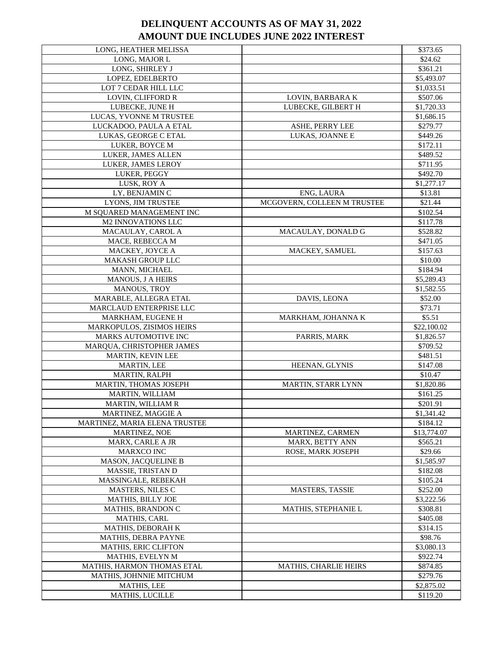| LONG, HEATHER MELISSA            |                             | \$373.65    |
|----------------------------------|-----------------------------|-------------|
| LONG, MAJOR L                    |                             | \$24.62     |
| LONG, SHIRLEY J                  |                             | \$361.21    |
| LOPEZ, EDELBERTO                 |                             | \$5,493.07  |
| LOT 7 CEDAR HILL LLC             |                             | \$1,033.51  |
| LOVIN, CLIFFORD R                | LOVIN, BARBARA K            | \$507.06    |
| LUBECKE, JUNE H                  | LUBECKE, GILBERT H          | \$1,720.33  |
| LUCAS, YVONNE M TRUSTEE          |                             | \$1,686.15  |
| LUCKADOO, PAULA A ETAL           | ASHE, PERRY LEE             | \$279.77    |
| LUKAS, GEORGE C ETAL             | LUKAS, JOANNE E             | \$449.26    |
| LUKER, BOYCE M                   |                             | \$172.11    |
| LUKER, JAMES ALLEN               |                             | \$489.52    |
| LUKER, JAMES LEROY               |                             | \$711.95    |
| LUKER, PEGGY                     |                             | \$492.70    |
| LUSK, ROY A                      |                             | \$1,277.17  |
| LY, BENJAMIN C                   | ENG, LAURA                  | \$13.81     |
| LYONS, JIM TRUSTEE               | MCGOVERN, COLLEEN M TRUSTEE | \$21.44     |
| M SQUARED MANAGEMENT INC         |                             | \$102.54    |
| <b>M2 INNOVATIONS LLC</b>        |                             | \$117.78    |
| MACAULAY, CAROL A                | MACAULAY, DONALD G          | \$528.82    |
| MACE, REBECCA M                  |                             | \$471.05    |
| MACKEY, JOYCE A                  | MACKEY, SAMUEL              | \$157.63    |
| <b>MAKASH GROUP LLC</b>          |                             | \$10.00     |
| MANN, MICHAEL                    |                             | \$184.94    |
| MANOUS, J A HEIRS                |                             | \$5,289.43  |
| MANOUS, TROY                     |                             | \$1,582.55  |
| MARABLE, ALLEGRA ETAL            | DAVIS, LEONA                | \$52.00     |
| MARCLAUD ENTERPRISE LLC          |                             | \$73.71     |
| MARKHAM, EUGENE H                | MARKHAM, JOHANNA K          | \$5.51      |
| <b>MARKOPULOS, ZISIMOS HEIRS</b> |                             | \$22,100.02 |
| <b>MARKS AUTOMOTIVE INC</b>      | PARRIS, MARK                | \$1,826.57  |
| MARQUA, CHRISTOPHER JAMES        |                             | \$709.52    |
| MARTIN, KEVIN LEE                |                             | \$481.51    |
| <b>MARTIN, LEE</b>               | HEENAN, GLYNIS              | \$147.08    |
| MARTIN, RALPH                    |                             | \$10.47     |
| MARTIN, THOMAS JOSEPH            | MARTIN, STARR LYNN          | \$1,820.86  |
| MARTIN, WILLIAM                  |                             | \$161.25    |
| MARTIN, WILLIAM R                |                             | \$201.91    |
| MARTINEZ, MAGGIE A               |                             | \$1,341.42  |
| MARTINEZ, MARIA ELENA TRUSTEE    |                             | \$184.12    |
| MARTINEZ, NOE                    | MARTINEZ, CARMEN            | \$13,774.07 |
| MARX, CARLE A JR                 | MARX, BETTY ANN             | \$565.21    |
| MARXCO INC                       | ROSE, MARK JOSEPH           | \$29.66     |
| <b>MASON, JACQUELINE B</b>       |                             | \$1,585.97  |
| MASSIE, TRISTAN D                |                             | \$182.08    |
| MASSINGALE, REBEKAH              |                             | \$105.24    |
| MASTERS, NILES C                 | <b>MASTERS, TASSIE</b>      | \$252.00    |
| <b>MATHIS, BILLY JOE</b>         |                             | \$3,222.56  |
| MATHIS, BRANDON C                | MATHIS, STEPHANIE L         | \$308.81    |
| MATHIS, CARL                     |                             | \$405.08    |
| MATHIS, DEBORAH K                |                             | \$314.15    |
| MATHIS, DEBRA PAYNE              |                             | \$98.76     |
| MATHIS, ERIC CLIFTON             |                             | \$3,080.13  |
| MATHIS, EVELYN M                 |                             | \$922.74    |
| MATHIS, HARMON THOMAS ETAL       | MATHIS, CHARLIE HEIRS       | \$874.85    |
| MATHIS, JOHNNIE MITCHUM          |                             | \$279.76    |
| <b>MATHIS, LEE</b>               |                             | \$2,875.02  |
| MATHIS, LUCILLE                  |                             | \$119.20    |
|                                  |                             |             |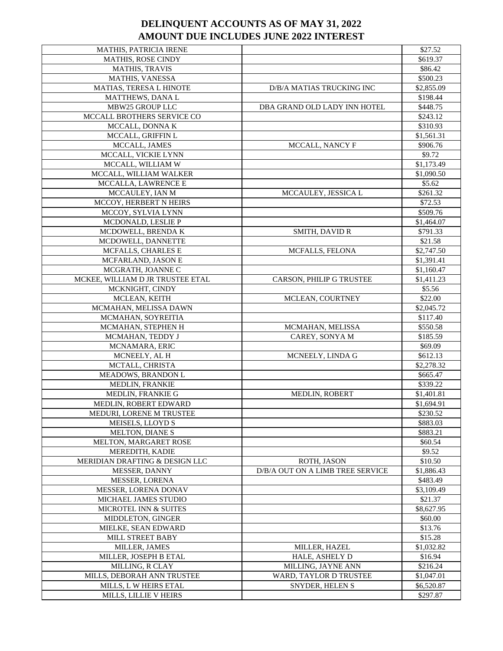| MATHIS, PATRICIA IRENE           |                                  | \$27.52    |
|----------------------------------|----------------------------------|------------|
| <b>MATHIS, ROSE CINDY</b>        |                                  | \$619.37   |
| <b>MATHIS, TRAVIS</b>            |                                  | \$86.42    |
| <b>MATHIS, VANESSA</b>           |                                  | \$500.23   |
| MATIAS, TERESA L HINOTE          | D/B/A MATIAS TRUCKING INC        | \$2,855.09 |
| <b>MATTHEWS, DANA L</b>          |                                  | \$198.44   |
| MBW25 GROUP LLC                  | DBA GRAND OLD LADY INN HOTEL     | \$448.75   |
| MCCALL BROTHERS SERVICE CO       |                                  | \$243.12   |
| MCCALL, DONNA K                  |                                  | \$310.93   |
| MCCALL, GRIFFIN L                |                                  | \$1,561.31 |
| MCCALL, JAMES                    | MCCALL, NANCY F                  | \$906.76   |
| MCCALL, VICKIE LYNN              |                                  | \$9.72     |
| MCCALL, WILLIAM W                |                                  | \$1,173.49 |
| MCCALL, WILLIAM WALKER           |                                  | \$1,090.50 |
| MCCALLA, LAWRENCE E              |                                  | \$5.62     |
| MCCAULEY, IAN M                  | MCCAULEY, JESSICA L              | \$261.32   |
| MCCOY, HERBERT N HEIRS           |                                  | \$72.53    |
| MCCOY, SYLVIA LYNN               |                                  | \$509.76   |
| MCDONALD, LESLIE P               |                                  | \$1,464.07 |
| MCDOWELL, BRENDA K               | <b>SMITH, DAVID R</b>            | \$791.33   |
| MCDOWELL, DANNETTE               |                                  | \$21.58    |
| MCFALLS, CHARLES E               | <b>MCFALLS, FELONA</b>           | \$2,747.50 |
| MCFARLAND, JASON E               |                                  | \$1,391.41 |
| MCGRATH, JOANNE C                |                                  | \$1,160.47 |
| MCKEE, WILLIAM D JR TRUSTEE ETAL | CARSON, PHILIP G TRUSTEE         | \$1,411.23 |
| MCKNIGHT, CINDY                  |                                  | \$5.56     |
| MCLEAN, KEITH                    | MCLEAN, COURTNEY                 | \$22.00    |
| MCMAHAN, MELISSA DAWN            |                                  | \$2,045.72 |
| MCMAHAN, SOYREITIA               |                                  | \$117.40   |
| MCMAHAN, STEPHEN H               | MCMAHAN, MELISSA                 | \$550.58   |
| MCMAHAN, TEDDY J                 | CAREY, SONYA M                   | \$185.59   |
| MCNAMARA, ERIC                   |                                  | \$69.09    |
| MCNEELY, AL H                    | MCNEELY, LINDA G                 | \$612.13   |
| MCTALL, CHRISTA                  |                                  | \$2,278.32 |
| MEADOWS, BRANDON L               |                                  | \$665.47   |
| MEDLIN, FRANKIE                  |                                  | \$339.22   |
| MEDLIN, FRANKIE G                | <b>MEDLIN, ROBERT</b>            | \$1,401.81 |
| MEDLIN, ROBERT EDWARD            |                                  | \$1,694.91 |
| MEDURI, LORENE M TRUSTEE         |                                  | \$230.52   |
| MEISELS, LLOYD S                 |                                  | \$883.03   |
| MELTON, DIANE S                  |                                  | \$883.21   |
| MELTON, MARGARET ROSE            |                                  | \$60.54    |
| MEREDITH, KADIE                  |                                  | \$9.52     |
| MERIDIAN DRAFTING & DESIGN LLC   | ROTH, JASON                      | \$10.50    |
| MESSER, DANNY                    | D/B/A OUT ON A LIMB TREE SERVICE | \$1,886.43 |
| MESSER, LORENA                   |                                  | \$483.49   |
| MESSER, LORENA DONAV             |                                  | \$3,109.49 |
| MICHAEL JAMES STUDIO             |                                  | \$21.37    |
| MICROTEL INN & SUITES            |                                  | \$8,627.95 |
| MIDDLETON, GINGER                |                                  | \$60.00    |
| MIELKE, SEAN EDWARD              |                                  | \$13.76    |
| MILL STREET BABY                 |                                  | \$15.28    |
| MILLER, JAMES                    | <b>MILLER, HAZEL</b>             | \$1,032.82 |
| MILLER, JOSEPH B ETAL            | HALE, ASHELY D                   | \$16.94    |
| MILLING, R CLAY                  | MILLING, JAYNE ANN               | \$216.24   |
| MILLS, DEBORAH ANN TRUSTEE       | WARD, TAYLOR D TRUSTEE           | \$1,047.01 |
| MILLS, L W HEIRS ETAL            | SNYDER, HELEN S                  | \$6,520.87 |
| MILLS, LILLIE V HEIRS            |                                  | \$297.87   |
|                                  |                                  |            |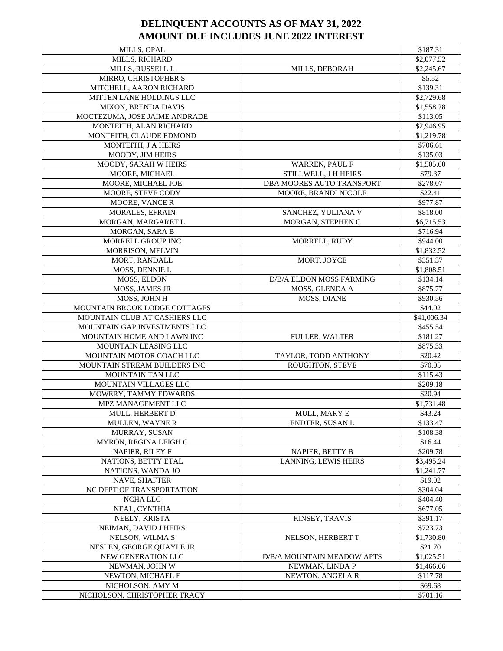| <b>MILLS, OPAL</b>            |                             | \$187.31    |
|-------------------------------|-----------------------------|-------------|
| MILLS, RICHARD                |                             | \$2,077.52  |
| MILLS, RUSSELL L              | MILLS, DEBORAH              | \$2,245.67  |
| MIRRO, CHRISTOPHER S          |                             | \$5.52      |
| MITCHELL, AARON RICHARD       |                             | \$139.31    |
| MITTEN LANE HOLDINGS LLC      |                             | \$2,729.68  |
| MIXON, BRENDA DAVIS           |                             | \$1,558.28  |
| MOCTEZUMA, JOSE JAIME ANDRADE |                             | \$113.05    |
| MONTEITH, ALAN RICHARD        |                             | \$2,946.95  |
| MONTEITH, CLAUDE EDMOND       |                             | \$1,219.78  |
| MONTEITH, J A HEIRS           |                             | \$706.61    |
| MOODY, JIM HEIRS              |                             | \$135.03    |
| MOODY, SARAH W HEIRS          | WARREN, PAUL F              | \$1,505.60  |
| MOORE, MICHAEL                | STILLWELL, J H HEIRS        | \$79.37     |
| MOORE, MICHAEL JOE            | DBA MOORES AUTO TRANSPORT   | \$278.07    |
| MOORE, STEVE CODY             | MOORE, BRANDI NICOLE        | \$22.41     |
| MOORE, VANCE R                |                             | \$977.87    |
| <b>MORALES, EFRAIN</b>        | SANCHEZ, YULIANA V          | \$818.00    |
| MORGAN, MARGARET L            | MORGAN, STEPHEN C           | \$6,715.53  |
| MORGAN, SARA B                |                             | \$716.94    |
| MORRELL GROUP INC             | MORRELL, RUDY               | \$944.00    |
| MORRISON, MELVIN              |                             | \$1,832.52  |
| MORT, RANDALL                 | MORT, JOYCE                 | \$351.37    |
| MOSS, DENNIE L                |                             | \$1,808.51  |
| MOSS, ELDON                   | D/B/A ELDON MOSS FARMING    | \$134.14    |
| MOSS, JAMES JR                | MOSS, GLENDA A              | \$875.77    |
| MOSS, JOHN H                  | <b>MOSS, DIANE</b>          | \$930.56    |
| MOUNTAIN BROOK LODGE COTTAGES |                             | \$44.02     |
| MOUNTAIN CLUB AT CASHIERS LLC |                             | \$41,006.34 |
| MOUNTAIN GAP INVESTMENTS LLC  |                             | \$455.54    |
| MOUNTAIN HOME AND LAWN INC    | <b>FULLER, WALTER</b>       | \$181.27    |
| MOUNTAIN LEASING LLC          |                             | \$875.33    |
| MOUNTAIN MOTOR COACH LLC      | TAYLOR, TODD ANTHONY        | \$20.42     |
| MOUNTAIN STREAM BUILDERS INC  | <b>ROUGHTON, STEVE</b>      | \$70.05     |
| <b>MOUNTAIN TAN LLC</b>       |                             | \$115.43    |
| MOUNTAIN VILLAGES LLC         |                             | \$209.18    |
| MOWERY, TAMMY EDWARDS         |                             | \$20.94     |
| MPZ MANAGEMENT LLC            |                             | \$1,731.48  |
| MULL, HERBERT D               | MULL, MARY E                | \$43.24     |
| <b>MULLEN, WAYNE R</b>        | ENDTER, SUSAN L             | \$133.47    |
| MURRAY, SUSAN                 |                             | \$108.38    |
| MYRON, REGINA LEIGH C         |                             | \$16.44     |
| NAPIER, RILEY F               | NAPIER, BETTY B             | \$209.78    |
| NATIONS, BETTY ETAL           | <b>LANNING, LEWIS HEIRS</b> | \$3,495.24  |
| NATIONS, WANDA JO             |                             | \$1,241.77  |
| NAVE, SHAFTER                 |                             | \$19.02     |
| NC DEPT OF TRANSPORTATION     |                             | \$304.04    |
| NCHA LLC                      |                             | \$404.40    |
| NEAL, CYNTHIA                 |                             | \$677.05    |
| NEELY, KRISTA                 | KINSEY, TRAVIS              | \$391.17    |
| NEIMAN, DAVID J HEIRS         |                             | \$723.73    |
| NELSON, WILMA S               | NELSON, HERBERT T           | \$1,730.80  |
| NESLEN, GEORGE QUAYLE JR      |                             | \$21.70     |
| NEW GENERATION LLC            | D/B/A MOUNTAIN MEADOW APTS  | \$1,025.51  |
| NEWMAN, JOHN W                | NEWMAN, LINDA P             | \$1,466.66  |
| NEWTON, MICHAEL E             | NEWTON, ANGELA R            | \$117.78    |
| NICHOLSON, AMY M              |                             | \$69.68     |
| NICHOLSON, CHRISTOPHER TRACY  |                             | \$701.16    |
|                               |                             |             |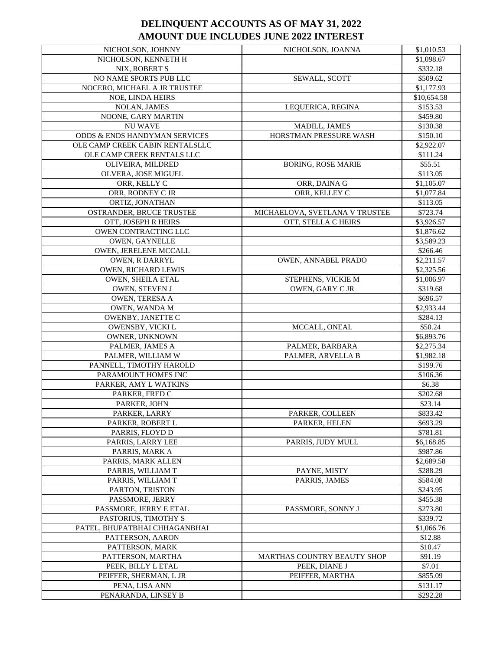| NICHOLSON, JOHNNY               | NICHOLSON, JOANNA              | \$1,010.53  |
|---------------------------------|--------------------------------|-------------|
| NICHOLSON, KENNETH H            |                                | \$1,098.67  |
| NIX, ROBERT S                   |                                | \$332.18    |
| NO NAME SPORTS PUB LLC          | SEWALL, SCOTT                  | \$509.62    |
| NOCERO, MICHAEL A JR TRUSTEE    |                                | \$1,177.93  |
| NOE, LINDA HEIRS                |                                | \$10,654.58 |
| NOLAN, JAMES                    | LEQUERICA, REGINA              | \$153.53    |
| NOONE, GARY MARTIN              |                                | \$459.80    |
| <b>NU WAVE</b>                  | MADILL, JAMES                  | \$130.38    |
| ODDS & ENDS HANDYMAN SERVICES   | HORSTMAN PRESSURE WASH         | \$150.10    |
| OLE CAMP CREEK CABIN RENTALSLLC |                                | \$2,922.07  |
| OLE CAMP CREEK RENTALS LLC      |                                | \$111.24    |
| OLIVEIRA, MILDRED               | <b>BORING, ROSE MARIE</b>      | \$55.51     |
| OLVERA, JOSE MIGUEL             |                                | \$113.05    |
| ORR, KELLY C                    | ORR, DAINA G                   | \$1,105.07  |
| ORR, RODNEY C JR                | ORR, KELLEY C                  | \$1,077.84  |
| ORTIZ, JONATHAN                 |                                | \$113.05    |
| OSTRANDER, BRUCE TRUSTEE        | MICHAELOVA, SVETLANA V TRUSTEE | \$723.74    |
| OTT, JOSEPH R HEIRS             | OTT, STELLA C HEIRS            | \$3,926.57  |
| OWEN CONTRACTING LLC            |                                | \$1,876.62  |
| OWEN, GAYNELLE                  |                                | \$3,589.23  |
| OWEN, JERELENE MCCALL           |                                | \$266.46    |
| OWEN, R DARRYL                  | OWEN, ANNABEL PRADO            | \$2,211.57  |
| OWEN, RICHARD LEWIS             |                                | \$2,325.56  |
| OWEN, SHEILA ETAL               | STEPHENS, VICKIE M             | \$1,006.97  |
| OWEN, STEVEN J                  | OWEN, GARY CJR                 | \$319.68    |
| OWEN, TERESA A                  |                                | \$696.57    |
| OWEN, WANDA M                   |                                | \$2,933.44  |
| OWENBY, JANETTE C               |                                | \$284.13    |
| OWENSBY, VICKI L                | MCCALL, ONEAL                  | \$50.24     |
| OWNER, UNKNOWN                  |                                | \$6,893.76  |
| PALMER, JAMES A                 | PALMER, BARBARA                | \$2,275.34  |
| PALMER, WILLIAM W               | PALMER, ARVELLA B              | \$1,982.18  |
| PANNELL, TIMOTHY HAROLD         |                                | \$199.76    |
| PARAMOUNT HOMES INC             |                                | \$106.36    |
| PARKER, AMY L WATKINS           |                                | \$6.38      |
| PARKER, FRED C                  |                                | \$202.68    |
| PARKER, JOHN                    |                                | \$23.14     |
| PARKER, LARRY                   | PARKER, COLLEEN                | \$833.42    |
| PARKER, ROBERT L                | PARKER, HELEN                  | \$693.29    |
| PARRIS, FLOYD D                 |                                | \$781.81    |
| PARRIS, LARRY LEE               | PARRIS, JUDY MULL              | \$6,168.85  |
| PARRIS, MARK A                  |                                | \$987.86    |
| PARRIS, MARK ALLEN              |                                | \$2,689.58  |
| PARRIS, WILLIAM T               | PAYNE, MISTY                   | \$288.29    |
| PARRIS, WILLIAM T               | PARRIS, JAMES                  | \$584.08    |
| PARTON, TRISTON                 |                                | \$243.95    |
| PASSMORE, JERRY                 |                                | \$455.38    |
| PASSMORE, JERRY E ETAL          | PASSMORE, SONNY J              | \$273.80    |
| PASTORIUS, TIMOTHY S            |                                | \$339.72    |
| PATEL, BHUPATBHAI CHHAGANBHAI   |                                | \$1,066.76  |
| PATTERSON, AARON                |                                | \$12.88     |
| PATTERSON, MARK                 |                                | \$10.47     |
| PATTERSON, MARTHA               | MARTHAS COUNTRY BEAUTY SHOP    | \$91.19     |
| PEEK, BILLY L ETAL              | PEEK, DIANE J                  | \$7.01      |
| PEIFFER, SHERMAN, L JR          | PEIFFER, MARTHA                | \$855.09    |
| PENA, LISA ANN                  |                                | \$131.17    |
| PENARANDA, LINSEY B             |                                | \$292.28    |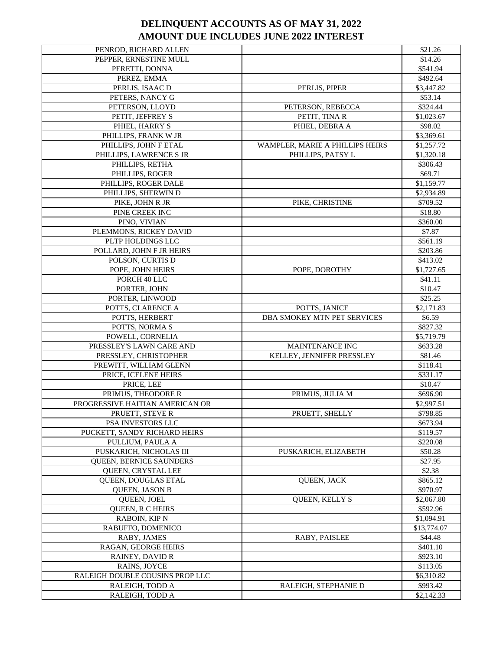| PENROD, RICHARD ALLEN           |                                 | \$21.26     |
|---------------------------------|---------------------------------|-------------|
| PEPPER, ERNESTINE MULL          |                                 | \$14.26     |
| PERETTI, DONNA                  |                                 | \$541.94    |
| PEREZ, EMMA                     |                                 | \$492.64    |
| PERLIS, ISAAC D                 | PERLIS, PIPER                   | \$3,447.82  |
| PETERS, NANCY G                 |                                 | \$53.14     |
| PETERSON, LLOYD                 | PETERSON, REBECCA               | \$324.44    |
| PETIT, JEFFREY S                | PETIT, TINA R                   | \$1,023.67  |
| PHIEL, HARRY S                  | PHIEL, DEBRA A                  | \$98.02     |
| PHILLIPS, FRANK W JR            |                                 | \$3,369.61  |
| PHILLIPS, JOHN F ETAL           | WAMPLER, MARIE A PHILLIPS HEIRS | \$1,257.72  |
| PHILLIPS, LAWRENCE S JR         | PHILLIPS, PATSY L               | \$1,320.18  |
| PHILLIPS, RETHA                 |                                 | \$306.43    |
| PHILLIPS, ROGER                 |                                 | \$69.71     |
| PHILLIPS, ROGER DALE            |                                 | \$1,159.77  |
| PHILLIPS, SHERWIN D             |                                 | \$2,934.89  |
| PIKE, JOHN R JR                 | PIKE, CHRISTINE                 | \$709.52    |
| PINE CREEK INC                  |                                 | \$18.80     |
| PINO, VIVIAN                    |                                 | \$360.00    |
| PLEMMONS, RICKEY DAVID          |                                 | \$7.87      |
| PLTP HOLDINGS LLC               |                                 | \$561.19    |
| POLLARD, JOHN F JR HEIRS        |                                 | \$203.86    |
| POLSON, CURTIS D                |                                 | \$413.02    |
| POPE, JOHN HEIRS                | POPE, DOROTHY                   | \$1,727.65  |
| PORCH 40 LLC                    |                                 | \$41.11     |
| PORTER, JOHN                    |                                 | \$10.47     |
| PORTER, LINWOOD                 |                                 | \$25.25     |
| POTTS, CLARENCE A               | POTTS, JANICE                   | \$2,171.83  |
| POTTS, HERBERT                  | DBA SMOKEY MTN PET SERVICES     | \$6.59      |
| POTTS, NORMA S                  |                                 | \$827.32    |
| POWELL, CORNELIA                |                                 | \$5,719.79  |
| PRESSLEY'S LAWN CARE AND        | MAINTENANCE INC                 | \$633.28    |
| PRESSLEY, CHRISTOPHER           | KELLEY, JENNIFER PRESSLEY       | \$81.46     |
| PREWITT, WILLIAM GLENN          |                                 | \$118.41    |
| PRICE, ICELENE HEIRS            |                                 | \$331.17    |
| PRICE, LEE                      |                                 | \$10.47     |
| PRIMUS, THEODORE R              | PRIMUS, JULIA M                 | \$696.90    |
| PROGRESSIVE HAITIAN AMERICAN OR |                                 | \$2,997.51  |
| PRUETT, STEVE R                 | PRUETT, SHELLY                  | \$798.85    |
| PSA INVESTORS LLC               |                                 | \$673.94    |
| PUCKETT, SANDY RICHARD HEIRS    |                                 | \$119.57    |
| PULLIUM, PAULA A                |                                 | \$220.08    |
| PUSKARICH, NICHOLAS III         | PUSKARICH, ELIZABETH            | \$50.28     |
| QUEEN, BERNICE SAUNDERS         |                                 | \$27.95     |
| QUEEN, CRYSTAL LEE              |                                 | \$2.38      |
| QUEEN, DOUGLAS ETAL             | <b>OUEEN, JACK</b>              | \$865.12    |
| <b>OUEEN, JASON B</b>           |                                 | \$970.97    |
| QUEEN, JOEL                     | <b>OUEEN, KELLY S</b>           | \$2,067.80  |
| <b>QUEEN, R C HEIRS</b>         |                                 | \$592.96    |
| <b>RABOIN, KIP N</b>            |                                 | \$1,094.91  |
| RABUFFO, DOMENICO               |                                 | \$13,774.07 |
| RABY, JAMES                     | RABY, PAISLEE                   | \$44.48     |
| RAGAN, GEORGE HEIRS             |                                 | \$401.10    |
| RAINEY, DAVID R                 |                                 | \$923.10    |
| RAINS, JOYCE                    |                                 | \$113.05    |
| RALEIGH DOUBLE COUSINS PROP LLC |                                 | \$6,310.82  |
| RALEIGH, TODD A                 | RALEIGH, STEPHANIE D            | \$993.42    |
| RALEIGH, TODD A                 |                                 | \$2,142.33  |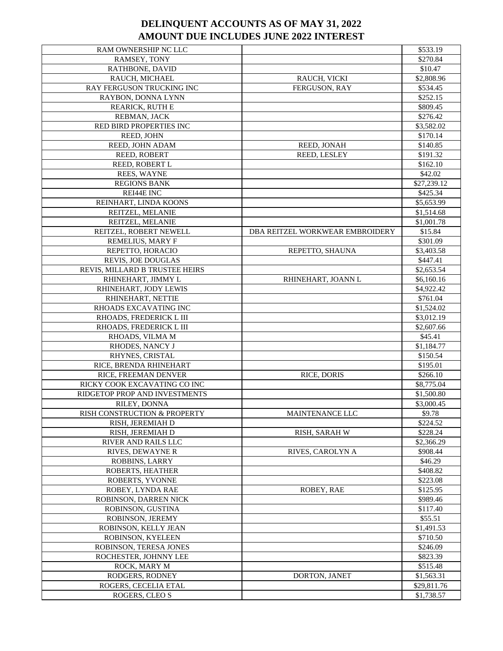| RAM OWNERSHIP NC LLC           |                                 | \$533.19    |
|--------------------------------|---------------------------------|-------------|
| RAMSEY, TONY                   |                                 | \$270.84    |
| RATHBONE, DAVID                |                                 | \$10.47     |
| RAUCH, MICHAEL                 | RAUCH, VICKI                    | \$2,808.96  |
| RAY FERGUSON TRUCKING INC      | <b>FERGUSON, RAY</b>            | \$534.45    |
| RAYBON, DONNA LYNN             |                                 | \$252.15    |
| REARICK, RUTH E                |                                 | \$809.45    |
| REBMAN, JACK                   |                                 | \$276.42    |
| RED BIRD PROPERTIES INC        |                                 | \$3,582.02  |
| REED, JOHN                     |                                 | \$170.14    |
| REED, JOHN ADAM                | REED, JONAH                     | \$140.85    |
| REED, ROBERT                   | REED, LESLEY                    | \$191.32    |
| REED, ROBERT L                 |                                 | \$162.10    |
| REES, WAYNE                    |                                 | \$42.02     |
| <b>REGIONS BANK</b>            |                                 | \$27,239.12 |
| REI44E INC                     |                                 | \$425.34    |
| REINHART, LINDA KOONS          |                                 | \$5,653.99  |
| REITZEL, MELANIE               |                                 | \$1,514.68  |
| REITZEL, MELANIE               |                                 | \$1,001.78  |
| REITZEL, ROBERT NEWELL         | DBA REITZEL WORKWEAR EMBROIDERY | \$15.84     |
| REMELIUS, MARY F               |                                 | \$301.09    |
| REPETTO, HORACIO               |                                 | \$3,403.58  |
| <b>REVIS, JOE DOUGLAS</b>      | REPETTO, SHAUNA                 |             |
|                                |                                 | \$447.41    |
| REVIS, MILLARD B TRUSTEE HEIRS |                                 | \$2,653.54  |
| RHINEHART, JIMMY L             | RHINEHART, JOANN L              | \$6,160.16  |
| RHINEHART, JODY LEWIS          |                                 | \$4,922.42  |
| RHINEHART, NETTIE              |                                 | \$761.04    |
| RHOADS EXCAVATING INC          |                                 | \$1,524.02  |
| RHOADS, FREDERICK L III        |                                 | \$3,012.19  |
| RHOADS, FREDERICK L III        |                                 | \$2,607.66  |
| RHOADS, VILMA M                |                                 | \$45.41     |
| RHODES, NANCY J                |                                 | \$1,184.77  |
| RHYNES, CRISTAL                |                                 | \$150.54    |
| RICE, BRENDA RHINEHART         |                                 | \$195.01    |
| RICE, FREEMAN DENVER           | <b>RICE, DORIS</b>              | \$266.10    |
| RICKY COOK EXCAVATING CO INC   |                                 | \$8,775.04  |
| RIDGETOP PROP AND INVESTMENTS  |                                 | \$1,500.80  |
| RILEY, DONNA                   |                                 | \$3,000.45  |
| RISH CONSTRUCTION & PROPERTY   | MAINTENANCE LLC                 | \$9.78      |
| RISH, JEREMIAH D               |                                 | \$224.52    |
| RISH, JEREMIAH D               | RISH, SARAH W                   | \$228.24    |
| <b>RIVER AND RAILS LLC</b>     |                                 | \$2,366.29  |
| RIVES, DEWAYNE R               | RIVES, CAROLYN A                | \$908.44    |
| ROBBINS, LARRY                 |                                 | \$46.29     |
| <b>ROBERTS, HEATHER</b>        |                                 | \$408.82    |
| ROBERTS, YVONNE                |                                 | \$223.08    |
| ROBEY, LYNDA RAE               | ROBEY, RAE                      | \$125.95    |
| ROBINSON, DARREN NICK          |                                 | \$989.46    |
| ROBINSON, GUSTINA              |                                 | \$117.40    |
| ROBINSON, JEREMY               |                                 | \$55.51     |
| ROBINSON, KELLY JEAN           |                                 | \$1,491.53  |
| ROBINSON, KYELEEN              |                                 | \$710.50    |
| ROBINSON, TERESA JONES         |                                 | \$246.09    |
| ROCHESTER, JOHNNY LEE          |                                 | \$823.39    |
| ROCK, MARY M                   |                                 | \$515.48    |
| RODGERS, RODNEY                | DORTON, JANET                   | \$1,563.31  |
| ROGERS, CECELIA ETAL           |                                 | \$29,811.76 |
| ROGERS, CLEO S                 |                                 | \$1,738.57  |
|                                |                                 |             |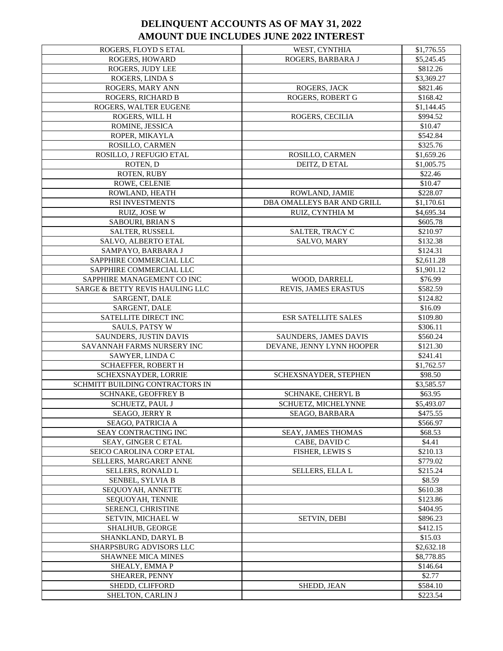| ROGERS, FLOYD S ETAL            | WEST, CYNTHIA              | \$1,776.55 |
|---------------------------------|----------------------------|------------|
| ROGERS, HOWARD                  | ROGERS, BARBARA J          | \$5,245.45 |
| ROGERS, JUDY LEE                |                            | \$812.26   |
| ROGERS, LINDA S                 |                            | \$3,369.27 |
| ROGERS, MARY ANN                | ROGERS, JACK               | \$821.46   |
| ROGERS, RICHARD B               | ROGERS, ROBERT G           | \$168.42   |
| ROGERS, WALTER EUGENE           |                            | \$1,144.45 |
| ROGERS, WILL H                  | ROGERS, CECILIA            | \$994.52   |
| ROMINE, JESSICA                 |                            | \$10.47    |
| ROPER, MIKAYLA                  |                            | \$542.84   |
| ROSILLO, CARMEN                 |                            | \$325.76   |
| ROSILLO, J REFUGIO ETAL         | ROSILLO, CARMEN            | \$1,659.26 |
| ROTEN, D                        | DEITZ, D ETAL              | \$1,005.75 |
| ROTEN, RUBY                     |                            | \$22.46    |
| ROWE, CELENIE                   |                            | \$10.47    |
| ROWLAND, HEATH                  | ROWLAND, JAMIE             | \$228.07   |
| RSI INVESTMENTS                 | DBA OMALLEYS BAR AND GRILL | \$1,170.61 |
| RUIZ, JOSE W                    | RUIZ, CYNTHIA M            | \$4,695.34 |
| <b>SABOURI, BRIAN S</b>         |                            | \$605.78   |
| SALTER, RUSSELL                 | SALTER, TRACY C            | \$210.97   |
| SALVO, ALBERTO ETAL             | SALVO, MARY                | \$132.38   |
| SAMPAYO, BARBARA J              |                            | \$124.31   |
| SAPPHIRE COMMERCIAL LLC         |                            | \$2,611.28 |
| SAPPHIRE COMMERCIAL LLC         |                            | \$1,901.12 |
| SAPPHIRE MANAGEMENT CO INC      | WOOD, DARRELL              | \$76.99    |
| SARGE & BETTY REVIS HAULING LLC | REVIS, JAMES ERASTUS       | \$582.59   |
| SARGENT, DALE                   |                            | \$124.82   |
| SARGENT, DALE                   |                            | \$16.09    |
| SATELLITE DIRECT INC            | <b>ESR SATELLITE SALES</b> | \$109.80   |
| <b>SAULS, PATSY W</b>           |                            | \$306.11   |
| SAUNDERS, JUSTIN DAVIS          | SAUNDERS, JAMES DAVIS      | \$560.24   |
| SAVANNAH FARMS NURSERY INC      | DEVANE, JENNY LYNN HOOPER  | \$121.30   |
| SAWYER, LINDA C                 |                            | \$241.41   |
| <b>SCHAEFFER, ROBERT H</b>      |                            | \$1,762.57 |
| SCHEXSNAYDER, LORRIE            | SCHEXSNAYDER, STEPHEN      | \$98.50    |
| SCHMITT BUILDING CONTRACTORS IN |                            | \$3,585.57 |
| SCHNAKE, GEOFFREY B             | SCHNAKE, CHERYL B          | \$63.95    |
| SCHUETZ, PAUL J                 | SCHUETZ, MICHELYNNE        | \$5,493.07 |
| SEAGO, JERRY R                  | SEAGO, BARBARA             | \$475.55   |
| <b>SEAGO, PATRICIA A</b>        |                            | \$566.97   |
| SEAY CONTRACTING INC            | SEAY, JAMES THOMAS         | \$68.53    |
| SEAY, GINGER C ETAL             | CABE, DAVID C              | \$4.41     |
| SEICO CAROLINA CORP ETAL        | FISHER, LEWIS S            | \$210.13   |
| SELLERS, MARGARET ANNE          |                            | \$779.02   |
| SELLERS, RONALD L               | SELLERS, ELLA L            | \$215.24   |
| SENBEL, SYLVIA B                |                            | \$8.59     |
| SEQUOYAH, ANNETTE               |                            | \$610.38   |
| SEQUOYAH, TENNIE                |                            | \$123.86   |
| SERENCI, CHRISTINE              |                            | \$404.95   |
| SETVIN, MICHAEL W               | <b>SETVIN, DEBI</b>        | \$896.23   |
| <b>SHALHUB, GEORGE</b>          |                            | \$412.15   |
| SHANKLAND, DARYL B              |                            | \$15.03    |
| SHARPSBURG ADVISORS LLC         |                            | \$2,632.18 |
| <b>SHAWNEE MICA MINES</b>       |                            | \$8,778.85 |
| SHEALY, EMMA P                  |                            | \$146.64   |
| SHEARER, PENNY                  |                            | \$2.77     |
| SHEDD, CLIFFORD                 | SHEDD, JEAN                | \$584.10   |
| SHELTON, CARLIN J               |                            | \$223.54   |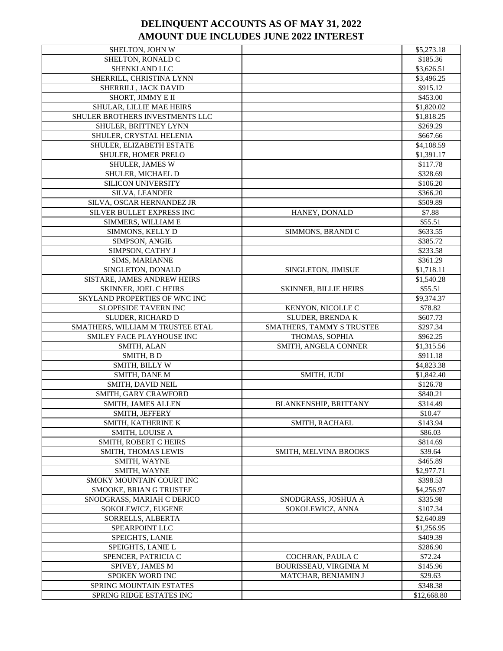| SHELTON, JOHN W                  |                                  | \$5,273.18  |
|----------------------------------|----------------------------------|-------------|
| SHELTON, RONALD C                |                                  | \$185.36    |
| SHENKLAND LLC                    |                                  | \$3,626.51  |
| SHERRILL, CHRISTINA LYNN         |                                  | \$3,496.25  |
| SHERRILL, JACK DAVID             |                                  | \$915.12    |
| SHORT, JIMMY E II                |                                  | \$453.00    |
| SHULAR, LILLIE MAE HEIRS         |                                  | \$1,820.02  |
| SHULER BROTHERS INVESTMENTS LLC  |                                  | \$1,818.25  |
| SHULER, BRITTNEY LYNN            |                                  | \$269.29    |
| SHULER, CRYSTAL HELENIA          |                                  | \$667.66    |
| SHULER, ELIZABETH ESTATE         |                                  | \$4,108.59  |
| SHULER, HOMER PRELO              |                                  | \$1,391.17  |
|                                  |                                  | \$117.78    |
| <b>SHULER, JAMES W</b>           |                                  |             |
| SHULER, MICHAEL D                |                                  | \$328.69    |
| SILICON UNIVERSITY               |                                  | \$106.20    |
| SILVA, LEANDER                   |                                  | \$366.20    |
| SILVA, OSCAR HERNANDEZ JR        |                                  | \$509.89    |
| SILVER BULLET EXPRESS INC        | HANEY, DONALD                    | \$7.88      |
| SIMMERS, WILLIAM E               |                                  | \$55.51     |
| SIMMONS, KELLY D                 | SIMMONS, BRANDI C                | \$633.55    |
| SIMPSON, ANGIE                   |                                  | \$385.72    |
| SIMPSON, CATHY J                 |                                  | \$233.58    |
| SIMS, MARIANNE                   |                                  | \$361.29    |
| SINGLETON, DONALD                | SINGLETON, JIMISUE               | \$1,718.11  |
| SISTARE, JAMES ANDREW HEIRS      |                                  | \$1,540.28  |
| SKINNER, JOEL C HEIRS            | <b>SKINNER, BILLIE HEIRS</b>     | \$55.51     |
| SKYLAND PROPERTIES OF WNC INC    |                                  | \$9,374.37  |
| SLOPESIDE TAVERN INC             | KENYON, NICOLLE C                | \$78.82     |
| SLUDER, RICHARD D                | SLUDER, BRENDA K                 | \$607.73    |
| SMATHERS, WILLIAM M TRUSTEE ETAL | <b>SMATHERS, TAMMY S TRUSTEE</b> | \$297.34    |
| SMILEY FACE PLAYHOUSE INC        | THOMAS, SOPHIA                   | \$962.25    |
| SMITH, ALAN                      | SMITH, ANGELA CONNER             | \$1,315.56  |
| SMITH, BD                        |                                  | \$911.18    |
| SMITH, BILLY W                   |                                  | \$4,823.38  |
| SMITH, DANE M                    | SMITH, JUDI                      | \$1,842.40  |
| SMITH, DAVID NEIL                |                                  | \$126.78    |
|                                  |                                  | \$840.21    |
| SMITH, GARY CRAWFORD             |                                  |             |
| SMITH, JAMES ALLEN               | <b>BLANKENSHIP, BRITTANY</b>     | \$314.49    |
| SMITH, JEFFERY                   |                                  | \$10.47     |
| SMITH, KATHERINE K               | <b>SMITH, RACHAEL</b>            | \$143.94    |
| <b>SMITH, LOUISE A</b>           |                                  | \$86.03     |
| <b>SMITH. ROBERT C HEIRS</b>     |                                  | \$814.69    |
| <b>SMITH, THOMAS LEWIS</b>       | <b>SMITH. MELVINA BROOKS</b>     | \$39.64     |
| SMITH, WAYNE                     |                                  | \$465.89    |
| SMITH, WAYNE                     |                                  | \$2,977.71  |
| SMOKY MOUNTAIN COURT INC         |                                  | \$398.53    |
| SMOOKE, BRIAN G TRUSTEE          |                                  | \$4,256.97  |
| SNODGRASS, MARIAH C DERICO       | SNODGRASS, JOSHUA A              | \$335.98    |
| SOKOLEWICZ, EUGENE               | SOKOLEWICZ, ANNA                 | \$107.34    |
| SORRELLS, ALBERTA                |                                  | \$2,640.89  |
| SPEARPOINT LLC                   |                                  | \$1,256.95  |
| <b>SPEIGHTS, LANIE</b>           |                                  | \$409.39    |
| SPEIGHTS, LANIE L                |                                  | \$286.90    |
| SPENCER, PATRICIA C              | COCHRAN, PAULA C                 | \$72.24     |
| SPIVEY, JAMES M                  | BOURISSEAU, VIRGINIA M           | \$145.96    |
| SPOKEN WORD INC                  | MATCHAR, BENJAMIN J              | \$29.63     |
| <b>SPRING MOUNTAIN ESTATES</b>   |                                  | \$348.38    |
| SPRING RIDGE ESTATES INC         |                                  | \$12,668.80 |
|                                  |                                  |             |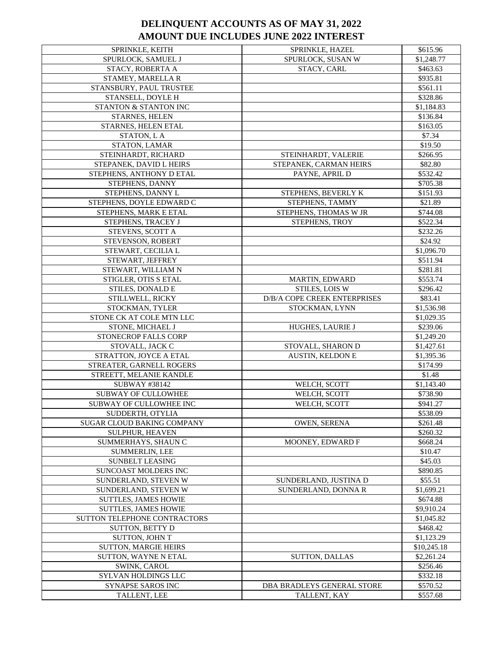| <b>SPRINKLE, KEITH</b>            | SPRINKLE, HAZEL              | \$615.96    |
|-----------------------------------|------------------------------|-------------|
| SPURLOCK, SAMUEL J                | SPURLOCK, SUSAN W            | \$1,248.77  |
| STACY, ROBERTA A                  | STACY, CARL                  | \$463.63    |
| STAMEY, MARELLA R                 |                              | \$935.81    |
| STANSBURY, PAUL TRUSTEE           |                              | \$561.11    |
| STANSELL, DOYLE H                 |                              | \$328.86    |
| STANTON & STANTON INC             |                              | \$1,184.83  |
| STARNES, HELEN                    |                              | \$136.84    |
| STARNES, HELEN ETAL               |                              | \$163.05    |
| STATON, L A                       |                              | \$7.34      |
| STATON, LAMAR                     |                              | \$19.50     |
| STEINHARDT, RICHARD               | STEINHARDT, VALERIE          | \$266.95    |
| STEPANEK, DAVID L HEIRS           | STEPANEK, CARMAN HEIRS       | \$82.80     |
| STEPHENS, ANTHONY D ETAL          | PAYNE, APRIL D               | \$532.42    |
| STEPHENS, DANNY                   |                              | \$705.38    |
| STEPHENS, DANNY L                 | STEPHENS, BEVERLY K          | \$151.93    |
| STEPHENS, DOYLE EDWARD C          | STEPHENS, TAMMY              | \$21.89     |
| STEPHENS, MARK E ETAL             | STEPHENS, THOMAS W JR        | \$744.08    |
| STEPHENS, TRACEY J                | STEPHENS, TROY               | \$522.34    |
| STEVENS, SCOTT A                  |                              | \$232.26    |
|                                   |                              |             |
| STEVENSON, ROBERT                 |                              | \$24.92     |
| STEWART, CECILIA L                |                              | \$1,096.70  |
| STEWART, JEFFREY                  |                              | \$511.94    |
| STEWART, WILLIAM N                |                              | \$281.81    |
| STIGLER, OTIS S ETAL              | <b>MARTIN, EDWARD</b>        | \$553.74    |
| STILES, DONALD E                  | STILES, LOIS W               | \$296.42    |
| STILLWELL, RICKY                  | D/B/A COPE CREEK ENTERPRISES | \$83.41     |
| STOCKMAN, TYLER                   | STOCKMAN, LYNN               | \$1,536.98  |
| STONE CK AT COLE MTN LLC          |                              | \$1,029.35  |
| STONE, MICHAEL J                  | HUGHES, LAURIE J             | \$239.06    |
| STONECROP FALLS CORP              |                              | \$1,249.20  |
| STOVALL, JACK C                   | STOVALL, SHARON D            | \$1,427.61  |
| STRATTON, JOYCE A ETAL            | <b>AUSTIN, KELDON E</b>      | \$1,395.36  |
| STREATER, GARNELL ROGERS          |                              | \$174.99    |
| STREETT, MELANIE KANDLE           |                              | \$1.48      |
| SUBWAY #38142                     | WELCH, SCOTT                 | \$1,143.40  |
| <b>SUBWAY OF CULLOWHEE</b>        | WELCH, SCOTT                 | \$738.90    |
| SUBWAY OF CULLOWHEE INC           | WELCH, SCOTT                 | \$941.27    |
| SUDDERTH, OTYLIA                  |                              | \$538.09    |
| <b>SUGAR CLOUD BAKING COMPANY</b> | <b>OWEN, SERENA</b>          | \$261.48    |
| <b>SULPHUR, HEAVEN</b>            |                              | \$260.32    |
| SUMMERHAYS, SHAUN C               | MOONEY, EDWARD F             | \$668.24    |
| <b>SUMMERLIN, LEE</b>             |                              | \$10.47     |
| <b>SUNBELT LEASING</b>            |                              | \$45.03     |
| SUNCOAST MOLDERS INC              |                              | \$890.85    |
| SUNDERLAND, STEVEN W              | SUNDERLAND, JUSTINA D        | \$55.51     |
| SUNDERLAND, STEVEN W              | SUNDERLAND, DONNA R          | \$1,699.21  |
| <b>SUTTLES, JAMES HOWIE</b>       |                              | \$674.88    |
| <b>SUTTLES, JAMES HOWIE</b>       |                              | \$9,910.24  |
| SUTTON TELEPHONE CONTRACTORS      |                              | \$1,045.82  |
| SUTTON, BETTY D                   |                              | \$468.42    |
| <b>SUTTON, JOHN T</b>             |                              | \$1,123.29  |
| <b>SUTTON, MARGIE HEIRS</b>       |                              | \$10,245.18 |
| SUTTON, WAYNE N ETAL              | <b>SUTTON, DALLAS</b>        | \$2,261.24  |
| SWINK, CAROL                      |                              | \$256.46    |
| SYLVAN HOLDINGS LLC               |                              | \$332.18    |
| <b>SYNAPSE SAROS INC</b>          | DBA BRADLEYS GENERAL STORE   | \$570.52    |
| TALLENT, LEE                      | TALLENT, KAY                 | \$557.68    |
|                                   |                              |             |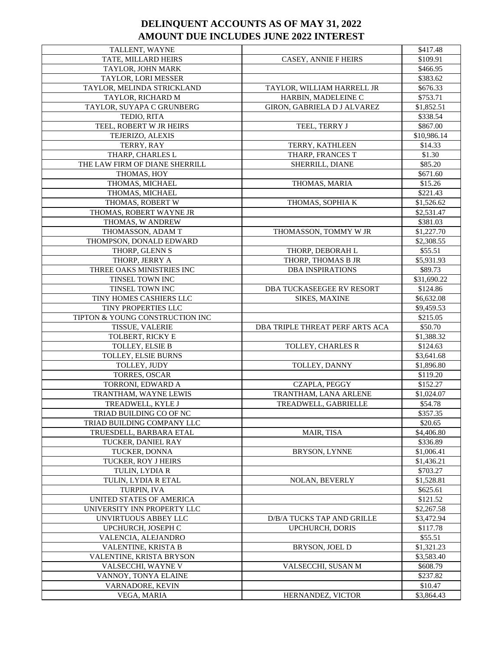| TALLENT, WAYNE                  |                                 | \$417.48              |
|---------------------------------|---------------------------------|-----------------------|
| TATE, MILLARD HEIRS             | <b>CASEY, ANNIE F HEIRS</b>     | \$109.91              |
| TAYLOR, JOHN MARK               |                                 | \$466.95              |
| TAYLOR, LORI MESSER             |                                 | \$383.62              |
| TAYLOR, MELINDA STRICKLAND      | TAYLOR, WILLIAM HARRELL JR      | \$676.33              |
| TAYLOR, RICHARD M               | HARBIN, MADELEINE C             | \$753.71              |
| TAYLOR, SUYAPA C GRUNBERG       | GIRON, GABRIELA D J ALVAREZ     | \$1,852.51            |
| TEDIO, RITA                     |                                 | \$338.54              |
| TEEL, ROBERT W JR HEIRS         | TEEL, TERRY J                   | \$867.00              |
| TEJERIZO, ALEXIS                |                                 | \$10,986.14           |
| TERRY, RAY                      | TERRY, KATHLEEN                 | \$14.33               |
| THARP, CHARLES L                | THARP, FRANCES T                | \$1.30                |
| THE LAW FIRM OF DIANE SHERRILL  | SHERRILL, DIANE                 | \$85.20               |
| THOMAS, HOY                     |                                 | \$671.60              |
| THOMAS, MICHAEL                 | THOMAS, MARIA                   | \$15.26               |
| THOMAS, MICHAEL                 |                                 | \$221.43              |
| THOMAS, ROBERT W                | THOMAS, SOPHIA K                | \$1,526.62            |
| THOMAS, ROBERT WAYNE JR         |                                 | \$2,531.47            |
| THOMAS, W ANDREW                |                                 | \$381.03              |
| THOMASSON, ADAM T               | THOMASSON, TOMMY W JR           | \$1,227.70            |
| THOMPSON, DONALD EDWARD         |                                 | \$2,308.55            |
| THORP, GLENN S                  | THORP, DEBORAH L                | \$55.51               |
| THORP, JERRY A                  | THORP, THOMAS B JR              | \$5,931.93            |
| THREE OAKS MINISTRIES INC       | <b>DBA INSPIRATIONS</b>         | \$89.73               |
| TINSEL TOWN INC                 |                                 | \$31,690.22           |
| TINSEL TOWN INC                 | DBA TUCKASEEGEE RV RESORT       | \$124.86              |
| TINY HOMES CASHIERS LLC         | SIKES, MAXINE                   | \$6,632.08            |
| TINY PROPERTIES LLC             |                                 | \$9,459.53            |
| TIPTON & YOUNG CONSTRUCTION INC |                                 | \$215.05              |
|                                 |                                 |                       |
| TISSUE, VALERIE                 | DBA TRIPLE THREAT PERF ARTS ACA | \$50.70               |
| TOLBERT, RICKY E                |                                 | \$1,388.32            |
| TOLLEY, ELSIE B                 | TOLLEY, CHARLES R               | \$124.63              |
| TOLLEY, ELSIE BURNS             |                                 | \$3,641.68            |
| TOLLEY, JUDY                    | TOLLEY, DANNY                   | \$1,896.80            |
| TORRES, OSCAR                   |                                 | \$119.20              |
| TORRONI, EDWARD A               | CZAPLA, PEGGY                   | \$152.27              |
| TRANTHAM, WAYNE LEWIS           | TRANTHAM, LANA ARLENE           | \$1,024.07            |
| TREADWELL, KYLE J               | TREADWELL, GABRIELLE            | \$54.78               |
| TRIAD BUILDING CO OF NC         |                                 | \$357.35              |
| TRIAD BUILDING COMPANY LLC      |                                 | \$20.65               |
| TRUESDELL, BARBARA ETAL         | MAIR, TISA                      | \$4,406.80            |
| TUCKER, DANIEL RAY              |                                 | \$336.89              |
| TUCKER, DONNA                   | <b>BRYSON, LYNNE</b>            | \$1,006.41            |
| TUCKER, ROY J HEIRS             |                                 | \$1,436.21            |
| <b>TULIN. LYDIA R</b>           |                                 | \$703.27              |
| TULIN, LYDIA R ETAL             | <b>NOLAN, BEVERLY</b>           | \$1,528.81            |
| TURPIN, IVA                     |                                 | \$625.61              |
| UNITED STATES OF AMERICA        |                                 | \$121.52              |
| UNIVERSITY INN PROPERTY LLC     |                                 | \$2,267.58            |
| UNVIRTUOUS ABBEY LLC            | D/B/A TUCKS TAP AND GRILLE      | \$3,472.94            |
| UPCHURCH, JOSEPH C              | <b>UPCHURCH, DORIS</b>          | \$117.78              |
| VALENCIA, ALEJANDRO             |                                 | \$55.51               |
| VALENTINE, KRISTA B             | <b>BRYSON, JOEL D</b>           | \$1,321.23            |
| VALENTINE, KRISTA BRYSON        |                                 | \$3,583.40            |
| VALSECCHI, WAYNE V              | VALSECCHI, SUSAN M              | \$608.79              |
| VANNOY, TONYA ELAINE            |                                 | \$237.82              |
| VARNADORE, KEVIN<br>VEGA, MARIA | HERNANDEZ, VICTOR               | \$10.47<br>\$3,864.43 |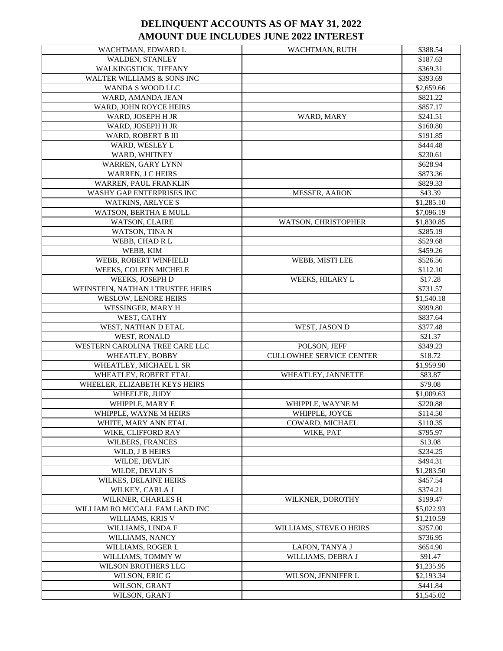| WACHTMAN, EDWARD L                                   | WACHTMAN, RUTH                  | \$388.54               |
|------------------------------------------------------|---------------------------------|------------------------|
| WALDEN, STANLEY                                      |                                 | \$187.63               |
| WALKINGSTICK, TIFFANY                                |                                 | \$369.31               |
| WALTER WILLIAMS & SONS INC                           |                                 | \$393.69               |
| WANDA S WOOD LLC                                     |                                 | \$2,659.66             |
| WARD, AMANDA JEAN                                    |                                 | \$821.22               |
| WARD, JOHN ROYCE HEIRS                               |                                 | \$857.17               |
| WARD, JOSEPH H JR                                    | WARD, MARY                      | \$241.51               |
| WARD, JOSEPH H JR                                    |                                 | \$160.80               |
| WARD, ROBERT B III                                   |                                 | \$191.85               |
| WARD, WESLEY L                                       |                                 | \$444.48               |
| WARD, WHITNEY                                        |                                 | \$230.61               |
| WARREN, GARY LYNN                                    |                                 | \$628.94               |
| WARREN, J C HEIRS                                    |                                 | \$873.36               |
| WARREN, PAUL FRANKLIN                                |                                 | \$829.33               |
| WASHY GAP ENTERPRISES INC                            | <b>MESSER, AARON</b>            | \$43.39                |
| <b>WATKINS, ARLYCES</b>                              |                                 | \$1,285.10             |
| WATSON, BERTHA E MULL                                |                                 | \$7,096.19             |
| WATSON, CLAIRE                                       | WATSON, CHRISTOPHER             | \$1,830.85             |
| WATSON, TINA N                                       |                                 | \$285.19               |
| WEBB, CHAD R L                                       |                                 | \$529.68               |
| WEBB, KIM                                            |                                 | \$459.26               |
| WEBB, ROBERT WINFIELD                                |                                 | \$526.56               |
| WEEKS, COLEEN MICHELE                                | WEBB, MISTI LEE                 | \$112.10               |
|                                                      |                                 |                        |
| WEEKS, JOSEPH D<br>WEINSTEIN, NATHAN I TRUSTEE HEIRS | WEEKS, HILARY L                 | \$17.28<br>\$731.57    |
|                                                      |                                 |                        |
| WESLOW, LENORE HEIRS                                 |                                 | \$1,540.18             |
| WESSINGER, MARY H                                    |                                 | \$999.80               |
| WEST, CATHY                                          |                                 | \$837.64               |
| WEST, NATHAN D ETAL                                  | WEST, JASON D                   | \$377.48               |
| WEST, RONALD                                         |                                 | \$21.37                |
| WESTERN CAROLINA TREE CARE LLC                       | POLSON, JEFF                    | \$349.23               |
| WHEATLEY, BOBBY                                      | <b>CULLOWHEE SERVICE CENTER</b> | \$18.72                |
| WHEATLEY, MICHAEL L SR                               |                                 | \$1,959.90             |
| WHEATLEY, ROBERT ETAL                                | WHEATLEY, JANNETTE              | \$83.87                |
| WHEELER, ELIZABETH KEYS HEIRS                        |                                 | \$79.08                |
| WHEELER, JUDY                                        |                                 | \$1,009.63             |
| WHIPPLE, MARY E                                      | WHIPPLE, WAYNE M                | \$220.88               |
| WHIPPLE, WAYNE M HEIRS                               | WHIPPLE, JOYCE                  | \$114.50               |
| WHITE, MARY ANN ETAL                                 | COWARD, MICHAEL                 | \$110.35               |
| WIKE, CLIFFORD RAY                                   | WIKE, PAT                       | \$795.97               |
| WILBERS, FRANCES                                     |                                 | \$13.08                |
| WILD, J B HEIRS                                      |                                 | \$234.25               |
| WILDE, DEVLIN                                        |                                 |                        |
|                                                      |                                 | \$494.31               |
| WILDE, DEVLIN S                                      |                                 | \$1,283.50             |
| WILKES, DELAINE HEIRS                                |                                 | \$457.54               |
| WILKEY, CARLA J                                      |                                 | \$374.21               |
| WILKNER, CHARLES H                                   | WILKNER, DOROTHY                | \$199.47               |
| WILLIAM RO MCCALL FAM LAND INC                       |                                 | \$5,022.93             |
| WILLIAMS, KRIS V                                     |                                 | \$1,210.59             |
| WILLIAMS, LINDA F                                    | WILLIAMS, STEVE O HEIRS         | \$257.00               |
| WILLIAMS, NANCY                                      |                                 | \$736.95               |
| WILLIAMS, ROGER L                                    | LAFON, TANYA J                  | \$654.90               |
| WILLIAMS, TOMMY W                                    | WILLIAMS, DEBRA J               | \$91.47                |
| WILSON BROTHERS LLC                                  |                                 | \$1,235.95             |
| WILSON, ERIC G                                       | WILSON, JENNIFER L              | \$2,193.34             |
| WILSON, GRANT<br>WILSON, GRANT                       |                                 | \$441.84<br>\$1,545.02 |